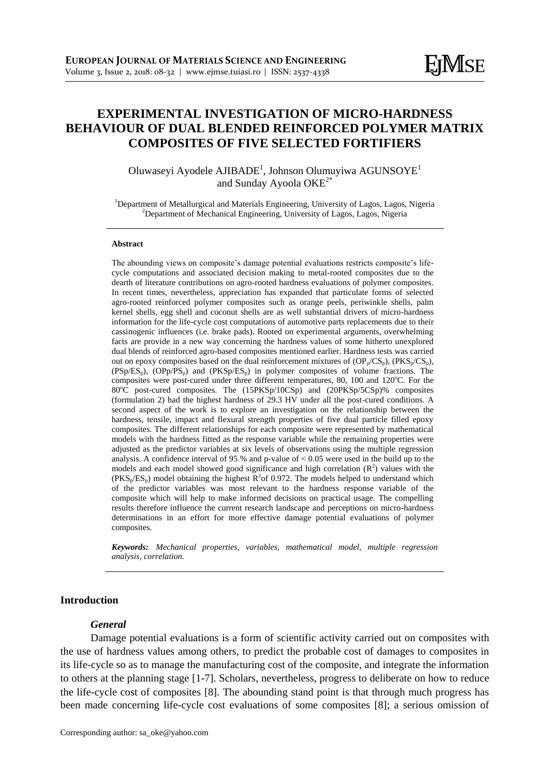# **EXPERIMENTAL INVESTIGATION OF MICRO-HARDNESS BEHAVIOUR OF DUAL BLENDED REINFORCED POLYMER MATRIX COMPOSITES OF FIVE SELECTED FORTIFIERS**

Oluwaseyi Ayodele AJIBADE<sup>1</sup>, Johnson Olumuyiwa AGUNSOYE<sup>1</sup> and Sunday Ayoola OKE<sup>2\*</sup>

<sup>1</sup>Department of Metallurgical and Materials Engineering, University of Lagos, Lagos, Nigeria <sup>2</sup>Department of Mechanical Engineering, University of Lagos, Lagos, Nigeria

#### **Abstract**

The abounding views on composite's damage potential evaluations restricts composite's lifecycle computations and associated decision making to metal-rooted composites due to the dearth of literature contributions on agro-rooted hardness evaluations of polymer composites. In recent times, nevertheless, appreciation has expanded that particulate forms of selected agro-rooted reinforced polymer composites such as orange peels, periwinkle shells, palm kernel shells, egg shell and coconut shells are as well substantial drivers of micro-hardness information for the life-cycle cost computations of automotive parts replacements due to their cassinogenic influences (i.e. brake pads). Rooted on experimental arguments, overwhelming facts are provide in a new way concerning the hardness values of some hitherto unexplored dual blends of reinforced agro-based composites mentioned earlier. Hardness tests was carried out on epoxy composites based on the dual reinforcement mixtures of  $OP_p/CS_p$ ,  $(PKS_p/CS_p)$ ,  $(PSp/ES_p)$ ,  $(OPp/PS_p)$  and  $(PKSp/ES_p)$  in polymer composites of volume fractions. The composites were post-cured under three different temperatures,  $80$ ,  $100$  and  $120^{\circ}$ C. For the 80<sup>o</sup>C post-cured composites. The (15PKSp/10CSp) and (20PKSp/5CSp)% composites (formulation 2) had the highest hardness of 29.3 HV under all the post-cured conditions. A second aspect of the work is to explore an investigation on the relationship between the hardness, tensile, impact and flexural strength properties of five dual particle filled epoxy composites. The different relationships for each composite were represented by mathematical models with the hardness fitted as the response variable while the remaining properties were adjusted as the predictor variables at six levels of observations using the multiple regression analysis. A confidence interval of 95 % and p-value of < 0.05 were used in the build up to the models and each model showed good significance and high correlation  $(R<sup>2</sup>)$  values with the  $(PKS_p/ES_p)$  model obtaining the highest  $R^2$  of 0.972. The models helped to understand which of the predictor variables was most relevant to the hardness response variable of the composite which will help to make informed decisions on practical usage. The compelling results therefore influence the current research landscape and perceptions on micro-hardness determinations in an effort for more effective damage potential evaluations of polymer composites.

*Keywords: Mechanical properties, variables, mathematical model, multiple regression analysis, correlation.*

## **Introduction**

#### *General*

Damage potential evaluations is a form of scientific activity carried out on composites with the use of hardness values among others, to predict the probable cost of damages to composites in its life-cycle so as to manage the manufacturing cost of the composite, and integrate the information to others at the planning stage [1-7]. Scholars, nevertheless, progress to deliberate on how to reduce the life-cycle cost of composites [8]. The abounding stand point is that through much progress has been made concerning life-cycle cost evaluations of some composites [8]; a serious omission of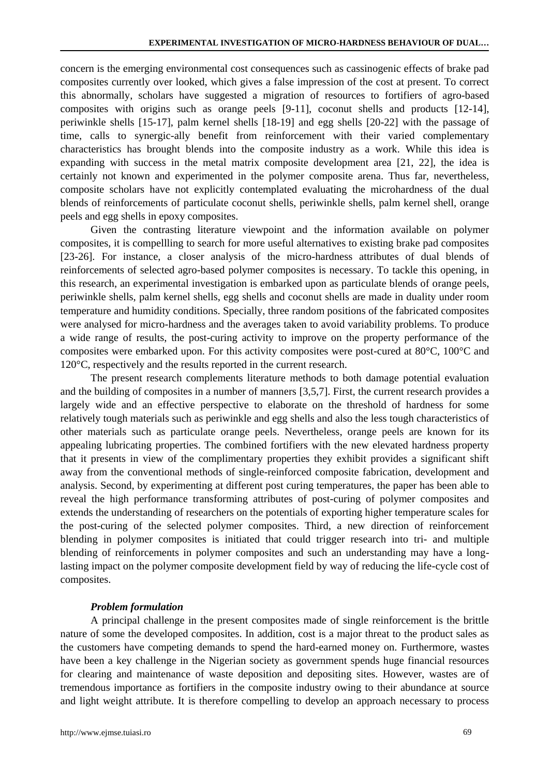concern is the emerging environmental cost consequences such as cassinogenic effects of brake pad composites currently over looked, which gives a false impression of the cost at present. To correct this abnormally, scholars have suggested a migration of resources to fortifiers of agro-based composites with origins such as orange peels [9-11], coconut shells and products [12-14], periwinkle shells [15-17], palm kernel shells [18-19] and egg shells [20-22] with the passage of time, calls to synergic-ally benefit from reinforcement with their varied complementary characteristics has brought blends into the composite industry as a work. While this idea is expanding with success in the metal matrix composite development area [21, 22], the idea is certainly not known and experimented in the polymer composite arena. Thus far, nevertheless, composite scholars have not explicitly contemplated evaluating the microhardness of the dual blends of reinforcements of particulate coconut shells, periwinkle shells, palm kernel shell, orange peels and egg shells in epoxy composites.

Given the contrasting literature viewpoint and the information available on polymer composites, it is compellling to search for more useful alternatives to existing brake pad composites [23-26]. For instance, a closer analysis of the micro-hardness attributes of dual blends of reinforcements of selected agro-based polymer composites is necessary. To tackle this opening, in this research, an experimental investigation is embarked upon as particulate blends of orange peels, periwinkle shells, palm kernel shells, egg shells and coconut shells are made in duality under room temperature and humidity conditions. Specially, three random positions of the fabricated composites were analysed for micro-hardness and the averages taken to avoid variability problems. To produce a wide range of results, the post-curing activity to improve on the property performance of the composites were embarked upon. For this activity composites were post-cured at 80°C, 100°C and 120°C, respectively and the results reported in the current research.

The present research complements literature methods to both damage potential evaluation and the building of composites in a number of manners [3,5,7]. First, the current research provides a largely wide and an effective perspective to elaborate on the threshold of hardness for some relatively tough materials such as periwinkle and egg shells and also the less tough characteristics of other materials such as particulate orange peels. Nevertheless, orange peels are known for its appealing lubricating properties. The combined fortifiers with the new elevated hardness property that it presents in view of the complimentary properties they exhibit provides a significant shift away from the conventional methods of single-reinforced composite fabrication, development and analysis. Second, by experimenting at different post curing temperatures, the paper has been able to reveal the high performance transforming attributes of post-curing of polymer composites and extends the understanding of researchers on the potentials of exporting higher temperature scales for the post-curing of the selected polymer composites. Third, a new direction of reinforcement blending in polymer composites is initiated that could trigger research into tri- and multiple blending of reinforcements in polymer composites and such an understanding may have a longlasting impact on the polymer composite development field by way of reducing the life-cycle cost of composites.

## *Problem formulation*

A principal challenge in the present composites made of single reinforcement is the brittle nature of some the developed composites. In addition, cost is a major threat to the product sales as the customers have competing demands to spend the hard-earned money on. Furthermore, wastes have been a key challenge in the Nigerian society as government spends huge financial resources for clearing and maintenance of waste deposition and depositing sites. However, wastes are of tremendous importance as fortifiers in the composite industry owing to their abundance at source and light weight attribute. It is therefore compelling to develop an approach necessary to process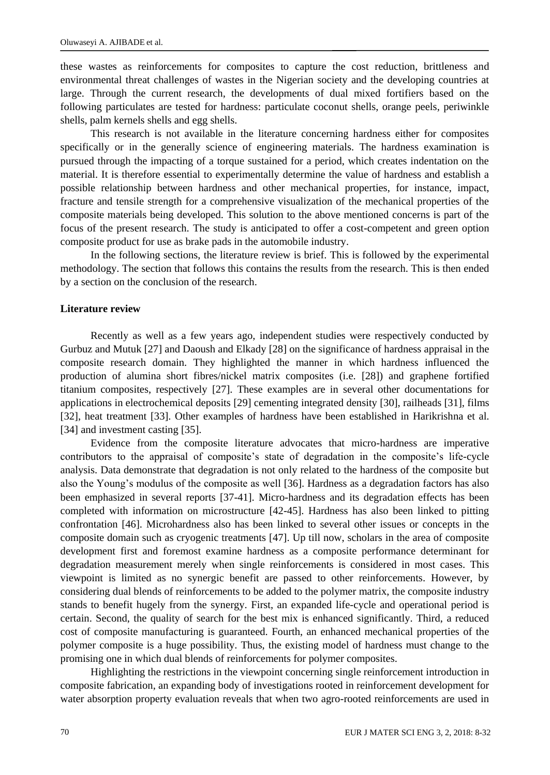these wastes as reinforcements for composites to capture the cost reduction, brittleness and environmental threat challenges of wastes in the Nigerian society and the developing countries at large. Through the current research, the developments of dual mixed fortifiers based on the following particulates are tested for hardness: particulate coconut shells, orange peels, periwinkle shells, palm kernels shells and egg shells.

This research is not available in the literature concerning hardness either for composites specifically or in the generally science of engineering materials. The hardness examination is pursued through the impacting of a torque sustained for a period, which creates indentation on the material. It is therefore essential to experimentally determine the value of hardness and establish a possible relationship between hardness and other mechanical properties, for instance, impact, fracture and tensile strength for a comprehensive visualization of the mechanical properties of the composite materials being developed. This solution to the above mentioned concerns is part of the focus of the present research. The study is anticipated to offer a cost-competent and green option composite product for use as brake pads in the automobile industry.

In the following sections, the literature review is brief. This is followed by the experimental methodology. The section that follows this contains the results from the research. This is then ended by a section on the conclusion of the research.

#### **Literature review**

Recently as well as a few years ago, independent studies were respectively conducted by Gurbuz and Mutuk [27] and Daoush and Elkady [28] on the significance of hardness appraisal in the composite research domain. They highlighted the manner in which hardness influenced the production of alumina short fibres/nickel matrix composites (i.e. [28]) and graphene fortified titanium composites, respectively [27]. These examples are in several other documentations for applications in electrochemical deposits [29] cementing integrated density [30], railheads [31], films [32], heat treatment [33]. Other examples of hardness have been established in Harikrishna et al. [34] and investment casting [35].

Evidence from the composite literature advocates that micro-hardness are imperative contributors to the appraisal of composite's state of degradation in the composite's life-cycle analysis. Data demonstrate that degradation is not only related to the hardness of the composite but also the Young's modulus of the composite as well [36]. Hardness as a degradation factors has also been emphasized in several reports [37-41]. Micro-hardness and its degradation effects has been completed with information on microstructure [42-45]. Hardness has also been linked to pitting confrontation [46]. Microhardness also has been linked to several other issues or concepts in the composite domain such as cryogenic treatments [47]. Up till now, scholars in the area of composite development first and foremost examine hardness as a composite performance determinant for degradation measurement merely when single reinforcements is considered in most cases. This viewpoint is limited as no synergic benefit are passed to other reinforcements. However, by considering dual blends of reinforcements to be added to the polymer matrix, the composite industry stands to benefit hugely from the synergy. First, an expanded life-cycle and operational period is certain. Second, the quality of search for the best mix is enhanced significantly. Third, a reduced cost of composite manufacturing is guaranteed. Fourth, an enhanced mechanical properties of the polymer composite is a huge possibility. Thus, the existing model of hardness must change to the promising one in which dual blends of reinforcements for polymer composites.

Highlighting the restrictions in the viewpoint concerning single reinforcement introduction in composite fabrication, an expanding body of investigations rooted in reinforcement development for water absorption property evaluation reveals that when two agro-rooted reinforcements are used in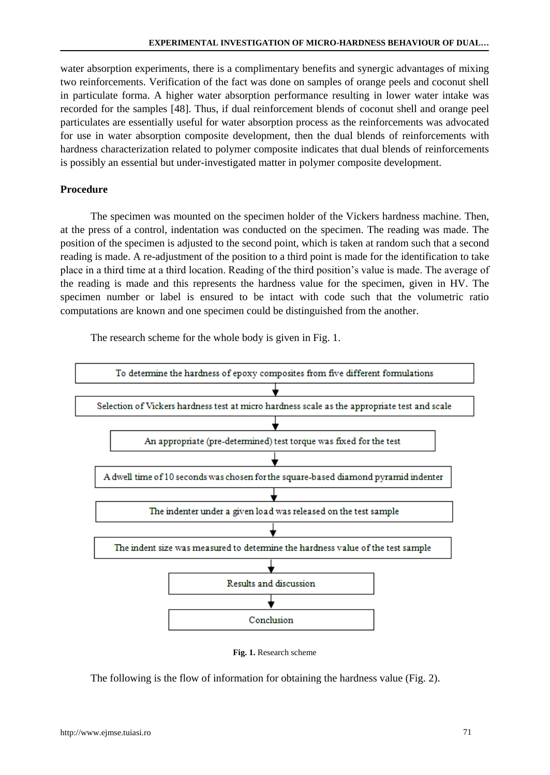water absorption experiments, there is a complimentary benefits and synergic advantages of mixing two reinforcements. Verification of the fact was done on samples of orange peels and coconut shell in particulate forma. A higher water absorption performance resulting in lower water intake was recorded for the samples [48]. Thus, if dual reinforcement blends of coconut shell and orange peel particulates are essentially useful for water absorption process as the reinforcements was advocated for use in water absorption composite development, then the dual blends of reinforcements with hardness characterization related to polymer composite indicates that dual blends of reinforcements is possibly an essential but under-investigated matter in polymer composite development.

## **Procedure**

The specimen was mounted on the specimen holder of the Vickers hardness machine. Then, at the press of a control, indentation was conducted on the specimen. The reading was made. The position of the specimen is adjusted to the second point, which is taken at random such that a second reading is made. A re-adjustment of the position to a third point is made for the identification to take place in a third time at a third location. Reading of the third position's value is made. The average of the reading is made and this represents the hardness value for the specimen, given in HV. The specimen number or label is ensured to be intact with code such that the volumetric ratio computations are known and one specimen could be distinguished from the another.

The research scheme for the whole body is given in Fig. 1.



**Fig. 1.** Research scheme

The following is the flow of information for obtaining the hardness value (Fig. 2).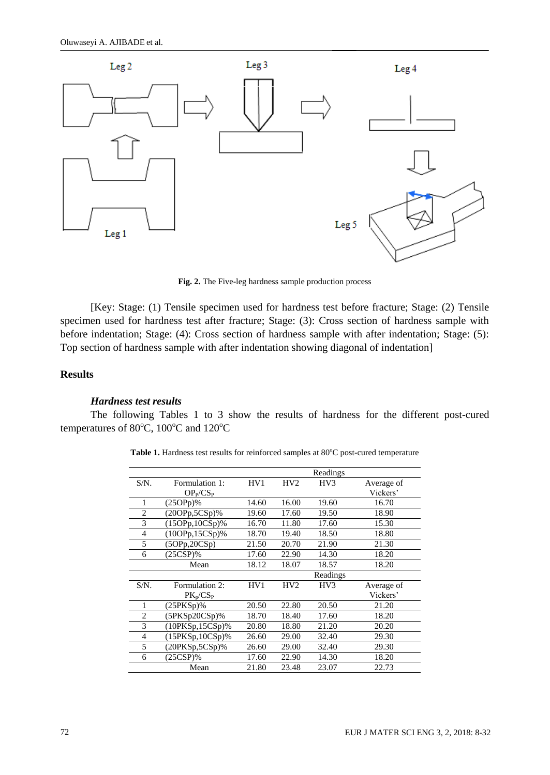

**Fig. 2.** The Five-leg hardness sample production process

[Key: Stage: (1) Tensile specimen used for hardness test before fracture; Stage: (2) Tensile specimen used for hardness test after fracture; Stage: (3): Cross section of hardness sample with before indentation; Stage: (4): Cross section of hardness sample with after indentation; Stage: (5): Top section of hardness sample with after indentation showing diagonal of indentation]

## **Results**

## *Hardness test results*

The following Tables 1 to 3 show the results of hardness for the different post-cured temperatures of  $80^{\circ}$ C,  $100^{\circ}$ C and  $120^{\circ}$ C

|  | Table 1. Hardness test results for reinforced samples at 80°C post-cured temperature |  |  |  |
|--|--------------------------------------------------------------------------------------|--|--|--|
|  |                                                                                      |  |  |  |

|                |                                  |       |       | Readings        |            |
|----------------|----------------------------------|-------|-------|-----------------|------------|
| $S/N$ .        | Formulation 1:                   | HV1   | HV2   | HV <sub>3</sub> | Average of |
|                | OP <sub>P</sub> /CS <sub>P</sub> |       |       |                 | Vickers'   |
| 1              | $(25OPp)\%$                      | 14.60 | 16.00 | 19.60           | 16.70      |
| 2              | $(20OPp, 5CSp)\%$                | 19.60 | 17.60 | 19.50           | 18.90      |
| 3              | $(15OPp, 10CSp)\%$               | 16.70 | 11.80 | 17.60           | 15.30      |
| 4              | $(10OPp, 15CSp)\%$               | 18.70 | 19.40 | 18.50           | 18.80      |
| 5              | (5OPp, 20CSp)                    | 21.50 | 20.70 | 21.90           | 21.30      |
| 6              | (25CSP)%                         | 17.60 | 22.90 | 14.30           | 18.20      |
|                | Mean                             | 18.12 | 18.07 | 18.57           | 18.20      |
|                |                                  |       |       | Readings        |            |
| $S/N$ .        | Formulation 2:                   | HV1   | HV2   | HV3             | Average of |
|                | $PK_p/CS_P$                      |       |       |                 | Vickers'   |
|                | (25PKSp)%                        | 20.50 | 22.80 | 20.50           | 21.20      |
| $\overline{2}$ | (5PKSp20CSp)%                    | 18.70 | 18.40 | 17.60           | 18.20      |
| 3              | $(10PKSp, 15CSp)$ %              | 20.80 | 18.80 | 21.20           | 20.20      |
| 4              | $(15PKSp, 10CSp)$ %              | 26.60 | 29.00 | 32.40           | 29.30      |
| 5              | (20PKSp,5CSp)%                   | 26.60 | 29.00 | 32.40           | 29.30      |
| 6              | $(25CSP)\%$                      | 17.60 | 22.90 | 14.30           | 18.20      |
|                | Mean                             | 21.80 | 23.48 | 23.07           | 22.73      |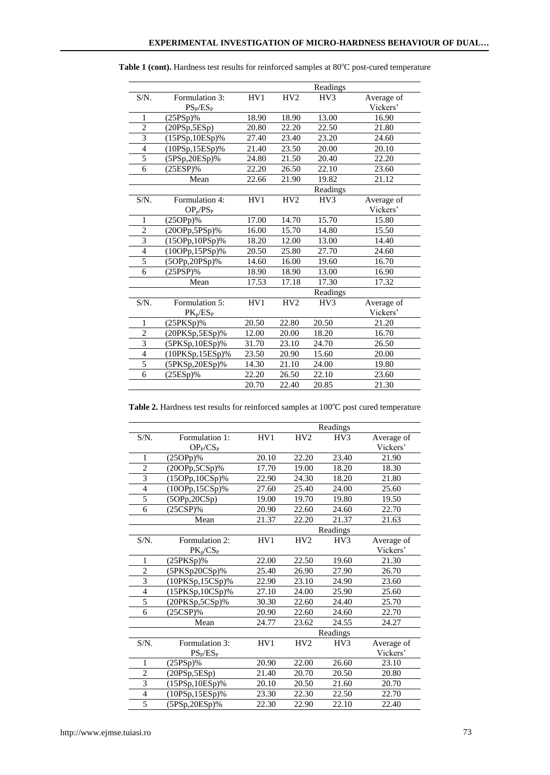|                |                                  |       |       | Readings |            |
|----------------|----------------------------------|-------|-------|----------|------------|
| $S/N$ .        | Formulation 3:                   | HV1   | HV2   | HV3      | Average of |
|                | $PS_{P}/ES_{P}$                  |       |       |          | Vickers'   |
| 1              | $(25PSp)\%$                      | 18.90 | 18.90 | 13.00    | 16.90      |
| $\overline{c}$ | (20PSp, 5ESp)                    | 20.80 | 22.20 | 22.50    | 21.80      |
| 3              | $(15PSp, 10ESp)\%$               | 27.40 | 23.40 | 23.20    | 24.60      |
| $\overline{4}$ | $(10PSp, 15ESp)\%$               | 21.40 | 23.50 | 20.00    | 20.10      |
| 5              | (5PSp,20ESp)%                    | 24.80 | 21.50 | 20.40    | 22.20      |
| 6              | (25ESP)%                         | 22.20 | 26.50 | 22.10    | 23.60      |
|                | Mean                             | 22.66 | 21.90 | 19.82    | 21.12      |
|                |                                  |       |       | Readings |            |
| $S/N$ .        | Formulation 4:                   | HV1   | HV2   | HV3      | Average of |
|                | OP <sub>n</sub> /PS <sub>P</sub> |       |       |          | Vickers'   |
| 1              | $(25OPp)\%$                      | 17.00 | 14.70 | 15.70    | 15.80      |
| $\overline{c}$ | $(20OPp, 5PSp)\%$                | 16.00 | 15.70 | 14.80    | 15.50      |
| 3              | (15OPp, 10PSp)%                  | 18.20 | 12.00 | 13.00    | 14.40      |
| $\overline{4}$ | $(100Pp, 15PSp)\%$               | 20.50 | 25.80 | 27.70    | 24.60      |
| 5              | $(5OPp, 20PSp)\%$                | 14.60 | 16.00 | 19.60    | 16.70      |
| 6              | $(25PSP)\%$                      | 18.90 | 18.90 | 13.00    | 16.90      |
|                | Mean                             | 17.53 | 17.18 | 17.30    | 17.32      |
|                |                                  |       |       | Readings |            |
| $S/N$ .        | Formulation 5:                   | HV1   | HV2   | HV3      | Average of |
|                | $PK_p/ES_P$                      |       |       |          | Vickers'   |
| 1              | $(25PKSp)\%$                     | 20.50 | 22.80 | 20.50    | 21.20      |
| $\overline{c}$ | $(20PKSp,5ESp)\%$                | 12.00 | 20.00 | 18.20    | 16.70      |
| 3              | (5PKSp, 10ESp)%                  | 31.70 | 23.10 | 24.70    | 26.50      |
| $\overline{4}$ | (10PKSp,15ESp)%                  | 23.50 | 20.90 | 15.60    | 20.00      |
| 5              | (5PKSp,20ESp)%                   | 14.30 | 21.10 | 24.00    | 19.80      |
| 6              | $(25ESp)\%$                      | 22.20 | 26.50 | 22.10    | 23.60      |
|                |                                  | 20.70 | 22.40 | 20.85    | 21.30      |

Table 1 (cont). Hardness test results for reinforced samples at 80°C post-cured temperature

Table 2. Hardness test results for reinforced samples at 100°C post cured temperature

|                |                                  | Readings        |                 |          |            |  |
|----------------|----------------------------------|-----------------|-----------------|----------|------------|--|
| $S/N$ .        | Formulation 1:                   | HV <sub>1</sub> | HV <sub>2</sub> | HV3      | Average of |  |
|                | OP <sub>P</sub> /CS <sub>P</sub> |                 |                 |          | Vickers'   |  |
| 1              | $(25OPp)\%$                      | 20.10           | 22.20           | 23.40    | 21.90      |  |
| $\overline{c}$ | (20OPp,5CSp)%                    | 17.70           | 19.00           | 18.20    | 18.30      |  |
| 3              | (15OPp, 10CSp)%                  | 22.90           | 24.30           | 18.20    | 21.80      |  |
| $\overline{4}$ | (100Pp,15CSp)%                   | 27.60           | 25.40           | 24.00    | 25.60      |  |
| 5              | (5OPp, 20CSp)                    | 19.00           | 19.70           | 19.80    | 19.50      |  |
| 6              | $(25CSP)\%$                      | 20.90           | 22.60           | 24.60    | 22.70      |  |
|                | Mean                             | 21.37           | 22.20           | 21.37    | 21.63      |  |
|                |                                  |                 |                 | Readings |            |  |
| S/N.           | Formulation 2:                   | HV1             | HV <sub>2</sub> | HV3      | Average of |  |
|                | $PK_p/CS_P$                      |                 |                 |          | Vickers'   |  |
| 1              | (25PKSp)%                        | 22.00           | 22.50           | 19.60    | 21.30      |  |
| $\overline{c}$ | $(5PKSp20CSp)\%$                 | 25.40           | 26.90           | 27.90    | 26.70      |  |
| 3              | $(10PKSp, 15CSp)$ %              | 22.90           | 23.10           | 24.90    | 23.60      |  |
| $\overline{4}$ | (15PKSp, 10CSp)%                 | 27.10           | 24.00           | 25.90    | 25.60      |  |
| 5              | (20PKSp,5CSp)%                   | 30.30           | 22.60           | 24.40    | 25.70      |  |
| 6              | $(25CSP)\%$                      | 20.90           | 22.60           | 24.60    | 22.70      |  |
|                | Mean                             | 24.77           | 23.62           | 24.55    | 24.27      |  |
|                |                                  |                 |                 | Readings |            |  |
| $S/N$ .        | Formulation 3:                   | HV1             | HV <sub>2</sub> | HV3      | Average of |  |
|                | $PS_{P}/ES_{P}$                  |                 |                 |          | Vickers'   |  |
| 1              | $(25PSp)\%$                      | 20.90           | 22.00           | 26.60    | 23.10      |  |
| $\overline{2}$ | (20PSp, 5ESp)                    | 21.40           | 20.70           | 20.50    | 20.80      |  |
| 3              | $(15PSp, 10ESp)\%$               | 20.10           | 20.50           | 21.60    | 20.70      |  |
| $\overline{4}$ | $(10PSp, 15ESp)\%$               | 23.30           | 22.30           | 22.50    | 22.70      |  |
| 5              | $(5PSp, 20ESp)\%$                | 22.30           | 22.90           | 22.10    | 22.40      |  |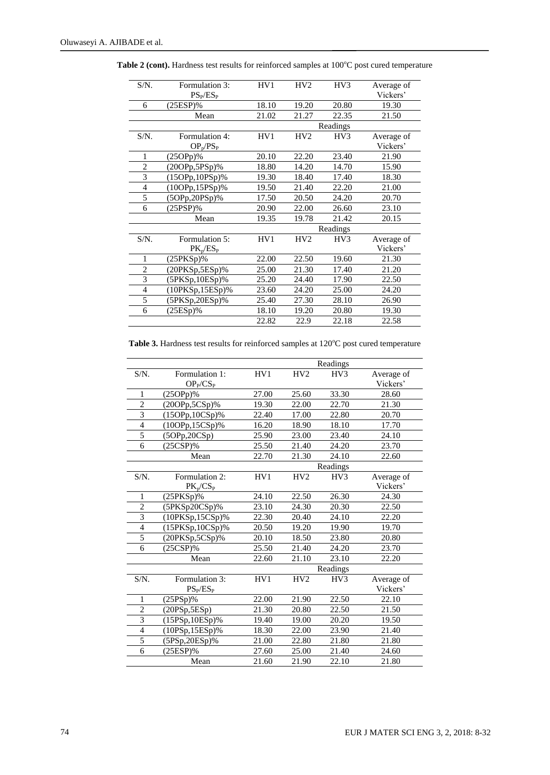| $S/N$ .        | Formulation 3:      | HV1   | HV <sub>2</sub> | HV3      | Average of |
|----------------|---------------------|-------|-----------------|----------|------------|
|                | $PS_{P}/ES_{P}$     |       |                 |          | Vickers'   |
| 6              | $(25ESP)\%$         | 18.10 | 19.20           | 20.80    | 19.30      |
|                |                     |       |                 |          |            |
|                | Mean                | 21.02 | 21.27           | 22.35    | 21.50      |
|                |                     |       |                 | Readings |            |
| $S/N$ .        | Formulation 4:      | HV1   | HV <sub>2</sub> | HV3      | Average of |
|                | $OP_p/PS_P$         |       |                 |          | Vickers'   |
| 1              | $(25OPp)\%$         | 20.10 | 22.20           | 23.40    | 21.90      |
| $\overline{c}$ | $(20OPp, 5PSp)\%$   | 18.80 | 14.20           | 14.70    | 15.90      |
| 3              | $(15OPp, 10PSp)\%$  | 19.30 | 18.40           | 17.40    | 18.30      |
| $\overline{4}$ | $(10OPp, 15PSp)\%$  | 19.50 | 21.40           | 22.20    | 21.00      |
| 5              | $(5OPp, 20PSp)\%$   | 17.50 | 20.50           | 24.20    | 20.70      |
| 6              | $(25PSP)\%$         | 20.90 | 22.00           | 26.60    | 23.10      |
|                | Mean                | 19.35 | 19.78           | 21.42    | 20.15      |
|                |                     |       |                 | Readings |            |
| $S/N$ .        | Formulation 5:      | HV1   | HV <sub>2</sub> | HV3      | Average of |
|                | $PK_p/ES_P$         |       |                 |          | Vickers'   |
| 1              | (25PKSp)%           | 22.00 | 22.50           | 19.60    | 21.30      |
| $\mathfrak{2}$ | $(20PKSp,5ESp)\%$   | 25.00 | 21.30           | 17.40    | 21.20      |
| 3              | (5PKSp,10ESp)%      | 25.20 | 24.40           | 17.90    | 22.50      |
| $\overline{4}$ | $(10PKSp, 15ESp)\%$ | 23.60 | 24.20           | 25.00    | 24.20      |
| 5              | (5PKSp,20ESp)%      | 25.40 | 27.30           | 28.10    | 26.90      |
| 6              | $(25ESp)\%$         | 18.10 | 19.20           | 20.80    | 19.30      |
|                |                     | 22.82 | 22.9            | 22.18    | 22.58      |

Table 2 (cont). Hardness test results for reinforced samples at 100°C post cured temperature

Table 3. Hardness test results for reinforced samples at 120°C post cured temperature

|                |                                  | Readings |                 |          |            |  |
|----------------|----------------------------------|----------|-----------------|----------|------------|--|
| $S/N$ .        | Formulation 1:                   | HV1      | HV <sub>2</sub> | HV3      | Average of |  |
|                | OP <sub>P</sub> /CS <sub>P</sub> |          |                 |          | Vickers'   |  |
| 1              | $(25OPp)\%$                      | 27.00    | 25.60           | 33.30    | 28.60      |  |
| $\overline{2}$ | (20OPp,5CSp)%                    | 19.30    | 22.00           | 22.70    | 21.30      |  |
| 3              | $(15OPp, 10CSp)\%$               | 22.40    | 17.00           | 22.80    | 20.70      |  |
| $\overline{4}$ | (10OPp,15CSp)%                   | 16.20    | 18.90           | 18.10    | 17.70      |  |
| 5              | (5OPp,20CSp)                     | 25.90    | 23.00           | 23.40    | 24.10      |  |
| 6              | $(25CSP)\%$                      | 25.50    | 21.40           | 24.20    | 23.70      |  |
|                | Mean                             | 22.70    | 21.30           | 24.10    | 22.60      |  |
|                |                                  |          |                 | Readings |            |  |
| $S/N$ .        | Formulation 2:                   | HV1      | HV2             | HV3      | Average of |  |
|                | $PK_p/CS_P$                      |          |                 |          | Vickers'   |  |
| 1              | $(25PKSp)\%$                     | 24.10    | 22.50           | 26.30    | 24.30      |  |
| $\overline{c}$ | $(5PKSp20CSp)\%$                 | 23.10    | 24.30           | 20.30    | 22.50      |  |
| 3              | (10PKSp,15CSp)%                  | 22.30    | 20.40           | 24.10    | 22.20      |  |
| $\overline{4}$ | $(15PKSp, 10CSp)$ %              | 20.50    | 19.20           | 19.90    | 19.70      |  |
| 5              | (20PKSp,5CSp)%                   | 20.10    | 18.50           | 23.80    | 20.80      |  |
| 6              | (25CSP)%                         | 25.50    | 21.40           | 24.20    | 23.70      |  |
|                | Mean                             | 22.60    | 21.10           | 23.10    | 22.20      |  |
|                |                                  |          |                 | Readings |            |  |
| $S/N$ .        | Formulation 3:                   | HV1      | HV2             | HV3      | Average of |  |
|                | $PS_{P}/ES_{P}$                  |          |                 |          | Vickers'   |  |
| 1              | $(25PSp)\%$                      | 22.00    | 21.90           | 22.50    | 22.10      |  |
| $\overline{2}$ | (20PSp, 5ESp)                    | 21.30    | 20.80           | 22.50    | 21.50      |  |
| 3              | $(15PSp, 10ESp)\%$               | 19.40    | 19.00           | 20.20    | 19.50      |  |
| $\overline{4}$ | $(10PSp, 15ESp)\%$               | 18.30    | 22.00           | 23.90    | 21.40      |  |
| 5              | (5PSp,20ESp)%                    | 21.00    | 22.80           | 21.80    | 21.80      |  |
| 6              | $(25ESP)\%$                      | 27.60    | 25.00           | 21.40    | 24.60      |  |
|                | Mean                             | 21.60    | 21.90           | 22.10    | 21.80      |  |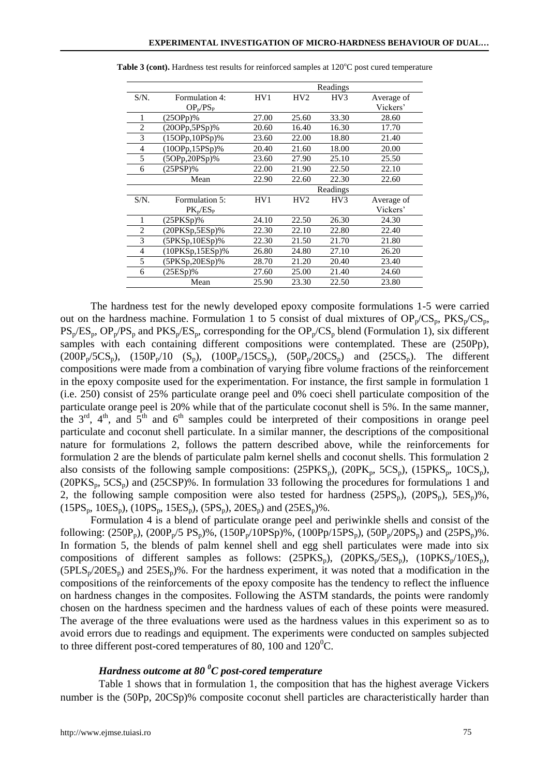|         |                                  | Readings |       |                 |            |
|---------|----------------------------------|----------|-------|-----------------|------------|
| $S/N$ . | Formulation 4:                   | HV1      | HV2   | HV3             | Average of |
|         | OP <sub>n</sub> /PS <sub>P</sub> |          |       |                 | Vickers'   |
| 1       | $(25OPp)\%$                      | 27.00    | 25.60 | 33.30           | 28.60      |
| 2       | $(20OPp, 5PSp)\%$                | 20.60    | 16.40 | 16.30           | 17.70      |
| 3       | $(15OPp, 10PSp)\%$               | 23.60    | 22.00 | 18.80           | 21.40      |
| 4       | $(100Pp, 15PSp)\%$               | 20.40    | 21.60 | 18.00           | 20.00      |
| 5       | $(5OPp, 20PSp)\%$                | 23.60    | 27.90 | 25.10           | 25.50      |
| 6       | $(25PSP)\%$                      | 22.00    | 21.90 | 22.50           | 22.10      |
|         | Mean                             | 22.90    | 22.60 | 22.30           | 22.60      |
|         |                                  |          |       | Readings        |            |
| $S/N$ . | Formulation 5:                   | HV1      | HV2   | HV <sub>3</sub> | Average of |
|         | $PK_p/ES_p$                      |          |       |                 | Vickers'   |
| 1       | (25PKSp)%                        | 24.10    | 22.50 | 26.30           | 24.30      |
| 2       | $(20$ PKSp,5ESp $)$ %            | 22.30    | 22.10 | 22.80           | 22.40      |
| 3       | $(5PKSp,10ESp)\%$                | 22.30    | 21.50 | 21.70           | 21.80      |
| 4       | $(10PKSp, 15ESp)\%$              | 26.80    | 24.80 | 27.10           | 26.20      |
| 5       | (5PKSp,20ESp)%                   | 28.70    | 21.20 | 20.40           | 23.40      |
| 6       | $(25ESp)\%$                      | 27.60    | 25.00 | 21.40           | 24.60      |
|         | Mean                             | 25.90    | 23.30 | 22.50           | 23.80      |

Table 3 (cont). Hardness test results for reinforced samples at 120°C post cured temperature

The hardness test for the newly developed epoxy composite formulations 1-5 were carried out on the hardness machine. Formulation 1 to 5 consist of dual mixtures of  $OP_n/CS_n$ ,  $PKS_n/CS_n$ ,  $PS_p/ES_p$ ,  $OP_p/PS_p$  and  $PKS_p/ES_p$ , corresponding for the  $OP_p/CS_p$  blend (Formulation 1), six different samples with each containing different compositions were contemplated. These are  $(250Pp)$ ,  $(200P_p/5CS_p)$ ,  $(150P_p/10 (S_p)$ ,  $(100P_p/15CS_p)$ ,  $(50P_p/20CS_p)$  and  $(25CS_p)$ . The different compositions were made from a combination of varying fibre volume fractions of the reinforcement in the epoxy composite used for the experimentation. For instance, the first sample in formulation 1 (i.e. 250) consist of 25% particulate orange peel and 0% coeci shell particulate composition of the particulate orange peel is 20% while that of the particulate coconut shell is 5%. In the same manner, the  $3<sup>rd</sup>$ ,  $4<sup>th</sup>$ , and  $5<sup>th</sup>$  and  $6<sup>th</sup>$  samples could be interpreted of their compositions in orange peel particulate and coconut shell particulate. In a similar manner, the descriptions of the compositional nature for formulations 2, follows the pattern described above, while the reinforcements for formulation 2 are the blends of particulate palm kernel shells and coconut shells. This formulation 2 also consists of the following sample compositions:  $(25PKS_p)$ ,  $(20PK_p, 5CS_p)$ ,  $(15PKS_p, 10CS_p)$ ,  $(20PKS_p, 5CS_p)$  and  $(25CSP)$ %. In formulation 33 following the procedures for formulations 1 and 2, the following sample composition were also tested for hardness  $(25PS_p)$ ,  $(20PS_p)$ ,  $5ES_p$ %,  $(15PS_p, 10ES_p), (10PS_p, 15ES_p), (5PS_p), 20ES_p)$  and  $(25ES_p)$ %.

Formulation 4 is a blend of particulate orange peel and periwinkle shells and consist of the following:  $(250P_p)$ ,  $(200P_p/5 \text{ PS}_p)\%$ ,  $(150P_p/10\text{PS}_p)\%$ ,  $(100Pp/15\text{PS}_p)$ ,  $(50P_p/20\text{PS}_p)$  and  $(25PS_p)\%$ . In formation 5, the blends of palm kennel shell and egg shell particulates were made into six compositions of different samples as follows:  $(25PKS_p)$ ,  $(20PKS_p/5ES_p)$ ,  $(10PKS_p/10ES_p)$ ,  $(SPLS_p/20ES_p)$  and  $25ES_p$ %. For the hardness experiment, it was noted that a modification in the compositions of the reinforcements of the epoxy composite has the tendency to reflect the influence on hardness changes in the composites. Following the ASTM standards, the points were randomly chosen on the hardness specimen and the hardness values of each of these points were measured. The average of the three evaluations were used as the hardness values in this experiment so as to avoid errors due to readings and equipment. The experiments were conducted on samples subjected to three different post-cored temperatures of 80, 100 and  $120^{\circ}$ C.

## *Hardness outcome at 80 <sup>0</sup>C post-cored temperature*

Table 1 shows that in formulation 1, the composition that has the highest average Vickers number is the (50Pp, 20CSp)% composite coconut shell particles are characteristically harder than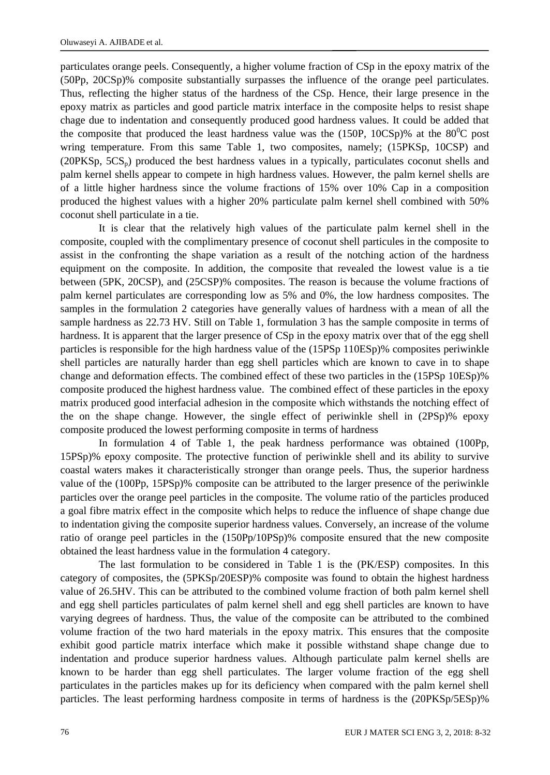particulates orange peels. Consequently, a higher volume fraction of CSp in the epoxy matrix of the (50Pp, 20CSp)% composite substantially surpasses the influence of the orange peel particulates. Thus, reflecting the higher status of the hardness of the CSp. Hence, their large presence in the epoxy matrix as particles and good particle matrix interface in the composite helps to resist shape chage due to indentation and consequently produced good hardness values. It could be added that the composite that produced the least hardness value was the  $(150P, 10CSp)$ % at the  $80^{\circ}$ C post wring temperature. From this same Table 1, two composites, namely; (15PKSp, 10CSP) and  $(20PKSp, 5CS<sub>p</sub>)$  produced the best hardness values in a typically, particulates coconut shells and palm kernel shells appear to compete in high hardness values. However, the palm kernel shells are of a little higher hardness since the volume fractions of 15% over 10% Cap in a composition produced the highest values with a higher 20% particulate palm kernel shell combined with 50% coconut shell particulate in a tie.

It is clear that the relatively high values of the particulate palm kernel shell in the composite, coupled with the complimentary presence of coconut shell particules in the composite to assist in the confronting the shape variation as a result of the notching action of the hardness equipment on the composite. In addition, the composite that revealed the lowest value is a tie between (5PK, 20CSP), and (25CSP)% composites. The reason is because the volume fractions of palm kernel particulates are corresponding low as 5% and 0%, the low hardness composites. The samples in the formulation 2 categories have generally values of hardness with a mean of all the sample hardness as 22.73 HV. Still on Table 1, formulation 3 has the sample composite in terms of hardness. It is apparent that the larger presence of CSp in the epoxy matrix over that of the egg shell particles is responsible for the high hardness value of the (15PSp 110ESp)% composites periwinkle shell particles are naturally harder than egg shell particles which are known to cave in to shape change and deformation effects. The combined effect of these two particles in the (15PSp 10ESp)% composite produced the highest hardness value. The combined effect of these particles in the epoxy matrix produced good interfacial adhesion in the composite which withstands the notching effect of the on the shape change. However, the single effect of periwinkle shell in (2PSp)% epoxy composite produced the lowest performing composite in terms of hardness

In formulation 4 of Table 1, the peak hardness performance was obtained (100Pp, 15PSp)% epoxy composite. The protective function of periwinkle shell and its ability to survive coastal waters makes it characteristically stronger than orange peels. Thus, the superior hardness value of the (100Pp, 15PSp)% composite can be attributed to the larger presence of the periwinkle particles over the orange peel particles in the composite. The volume ratio of the particles produced a goal fibre matrix effect in the composite which helps to reduce the influence of shape change due to indentation giving the composite superior hardness values. Conversely, an increase of the volume ratio of orange peel particles in the (150Pp/10PSp)% composite ensured that the new composite obtained the least hardness value in the formulation 4 category.

The last formulation to be considered in Table 1 is the (PK/ESP) composites. In this category of composites, the (5PKSp/20ESP)% composite was found to obtain the highest hardness value of 26.5HV. This can be attributed to the combined volume fraction of both palm kernel shell and egg shell particles particulates of palm kernel shell and egg shell particles are known to have varying degrees of hardness. Thus, the value of the composite can be attributed to the combined volume fraction of the two hard materials in the epoxy matrix. This ensures that the composite exhibit good particle matrix interface which make it possible withstand shape change due to indentation and produce superior hardness values. Although particulate palm kernel shells are known to be harder than egg shell particulates. The larger volume fraction of the egg shell particulates in the particles makes up for its deficiency when compared with the palm kernel shell particles. The least performing hardness composite in terms of hardness is the (20PKSp/5ESp)%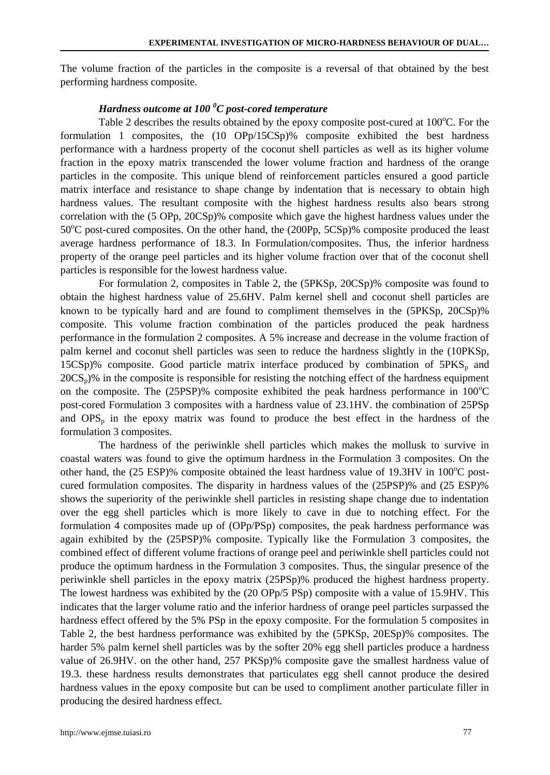The volume fraction of the particles in the composite is a reversal of that obtained by the best performing hardness composite.

# *Hardness outcome at 100 <sup>0</sup>C post-cored temperature*

Table 2 describes the results obtained by the epoxy composite post-cured at  $100^{\circ}$ C. For the formulation 1 composites, the (10 OPp/15CSp)% composite exhibited the best hardness performance with a hardness property of the coconut shell particles as well as its higher volume fraction in the epoxy matrix transcended the lower volume fraction and hardness of the orange particles in the composite. This unique blend of reinforcement particles ensured a good particle matrix interface and resistance to shape change by indentation that is necessary to obtain high hardness values. The resultant composite with the highest hardness results also bears strong correlation with the (5 OPp, 20CSp)% composite which gave the highest hardness values under the 50<sup>o</sup>C post-cured composites. On the other hand, the (200Pp, 5CSp)% composite produced the least average hardness performance of 18.3. In Formulation/composites. Thus, the inferior hardness property of the orange peel particles and its higher volume fraction over that of the coconut shell particles is responsible for the lowest hardness value.

For formulation 2, composites in Table 2, the (5PKSp, 20CSp)% composite was found to obtain the highest hardness value of 25.6HV. Palm kernel shell and coconut shell particles are known to be typically hard and are found to compliment themselves in the (5PKSp, 20CSp)% composite. This volume fraction combination of the particles produced the peak hardness performance in the formulation 2 composites. A 5% increase and decrease in the volume fraction of palm kernel and coconut shell particles was seen to reduce the hardness slightly in the (10PKSp,  $15CSp$ % composite. Good particle matrix interface produced by combination of  $5PKS_p$  and  $20CS_p$ % in the composite is responsible for resisting the notching effect of the hardness equipment on the composite. The  $(25PSP)$ % composite exhibited the peak hardness performance in  $100^{\circ}$ C post-cored Formulation 3 composites with a hardness value of 23.1HV. the combination of 25PSp and  $OPS<sub>p</sub>$  in the epoxy matrix was found to produce the best effect in the hardness of the formulation 3 composites.

The hardness of the periwinkle shell particles which makes the mollusk to survive in coastal waters was found to give the optimum hardness in the Formulation 3 composites. On the other hand, the (25 ESP)% composite obtained the least hardness value of 19.3HV in  $100^{\circ}$ C postcured formulation composites. The disparity in hardness values of the (25PSP)% and (25 ESP)% shows the superiority of the periwinkle shell particles in resisting shape change due to indentation over the egg shell particles which is more likely to cave in due to notching effect. For the formulation 4 composites made up of (OPp/PSp) composites, the peak hardness performance was again exhibited by the (25PSP)% composite. Typically like the Formulation 3 composites, the combined effect of different volume fractions of orange peel and periwinkle shell particles could not produce the optimum hardness in the Formulation 3 composites. Thus, the singular presence of the periwinkle shell particles in the epoxy matrix (25PSp)% produced the highest hardness property. The lowest hardness was exhibited by the (20 OPp/5 PSp) composite with a value of 15.9HV. This indicates that the larger volume ratio and the inferior hardness of orange peel particles surpassed the hardness effect offered by the 5% PSp in the epoxy composite. For the formulation 5 composites in Table 2, the best hardness performance was exhibited by the (5PKSp, 20ESp)% composites. The harder 5% palm kernel shell particles was by the softer 20% egg shell particles produce a hardness value of 26.9HV. on the other hand, 257 PKSp)% composite gave the smallest hardness value of 19.3. these hardness results demonstrates that particulates egg shell cannot produce the desired hardness values in the epoxy composite but can be used to compliment another particulate filler in producing the desired hardness effect.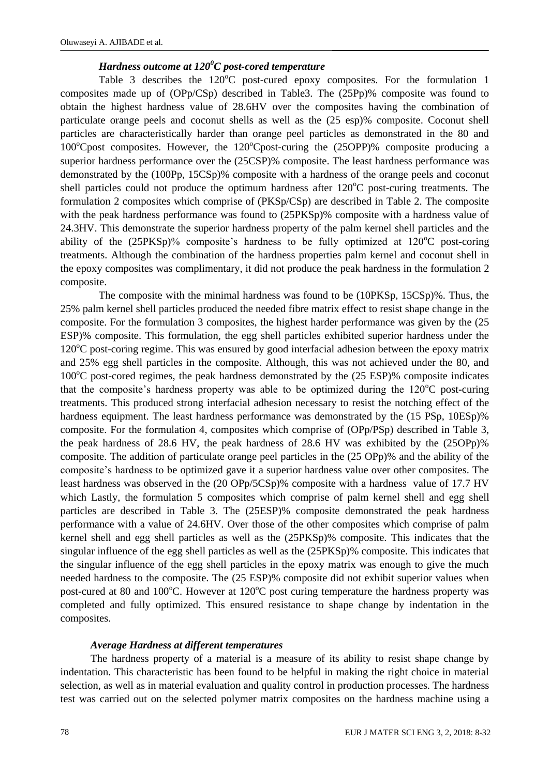# *Hardness outcome at 120 <sup>0</sup>C post-cored temperature*

Table 3 describes the  $120^{\circ}$ C post-cured epoxy composites. For the formulation 1 composites made up of (OPp/CSp) described in Table3. The (25Pp)% composite was found to obtain the highest hardness value of 28.6HV over the composites having the combination of particulate orange peels and coconut shells as well as the (25 esp)% composite. Coconut shell particles are characteristically harder than orange peel particles as demonstrated in the 80 and  $100^{\circ}$ Cpost composites. However, the  $120^{\circ}$ Cpost-curing the (25OPP)% composite producing a superior hardness performance over the (25CSP)% composite. The least hardness performance was demonstrated by the (100Pp, 15CSp)% composite with a hardness of the orange peels and coconut shell particles could not produce the optimum hardness after  $120^{\circ}$ C post-curing treatments. The formulation 2 composites which comprise of (PKSp/CSp) are described in Table 2. The composite with the peak hardness performance was found to (25PKSp)% composite with a hardness value of 24.3HV. This demonstrate the superior hardness property of the palm kernel shell particles and the ability of the  $(25PKSp)%$  composite's hardness to be fully optimized at  $120^{\circ}$ C post-coring treatments. Although the combination of the hardness properties palm kernel and coconut shell in the epoxy composites was complimentary, it did not produce the peak hardness in the formulation 2 composite.

The composite with the minimal hardness was found to be (10PKSp, 15CSp)%. Thus, the 25% palm kernel shell particles produced the needed fibre matrix effect to resist shape change in the composite. For the formulation 3 composites, the highest harder performance was given by the (25 ESP)% composite. This formulation, the egg shell particles exhibited superior hardness under the  $120^{\circ}$ C post-coring regime. This was ensured by good interfacial adhesion between the epoxy matrix and 25% egg shell particles in the composite. Although, this was not achieved under the 80, and  $100^{\circ}$ C post-cored regimes, the peak hardness demonstrated by the (25 ESP)% composite indicates that the composite's hardness property was able to be optimized during the  $120^{\circ}$ C post-curing treatments. This produced strong interfacial adhesion necessary to resist the notching effect of the hardness equipment. The least hardness performance was demonstrated by the (15 PSp, 10ESp)% composite. For the formulation 4, composites which comprise of (OPp/PSp) described in Table 3, the peak hardness of 28.6 HV, the peak hardness of 28.6 HV was exhibited by the (25OPp)% composite. The addition of particulate orange peel particles in the (25 OPp)% and the ability of the composite's hardness to be optimized gave it a superior hardness value over other composites. The least hardness was observed in the (20 OPp/5CSp)% composite with a hardness value of 17.7 HV which Lastly, the formulation 5 composites which comprise of palm kernel shell and egg shell particles are described in Table 3. The (25ESP)% composite demonstrated the peak hardness performance with a value of 24.6HV. Over those of the other composites which comprise of palm kernel shell and egg shell particles as well as the (25PKSp)% composite. This indicates that the singular influence of the egg shell particles as well as the (25PKSp)% composite. This indicates that the singular influence of the egg shell particles in the epoxy matrix was enough to give the much needed hardness to the composite. The (25 ESP)% composite did not exhibit superior values when post-cured at 80 and  $100^{\circ}$ C. However at  $120^{\circ}$ C post curing temperature the hardness property was completed and fully optimized. This ensured resistance to shape change by indentation in the composites.

#### *Average Hardness at different temperatures*

The hardness property of a material is a measure of its ability to resist shape change by indentation. This characteristic has been found to be helpful in making the right choice in material selection, as well as in material evaluation and quality control in production processes. The hardness test was carried out on the selected polymer matrix composites on the hardness machine using a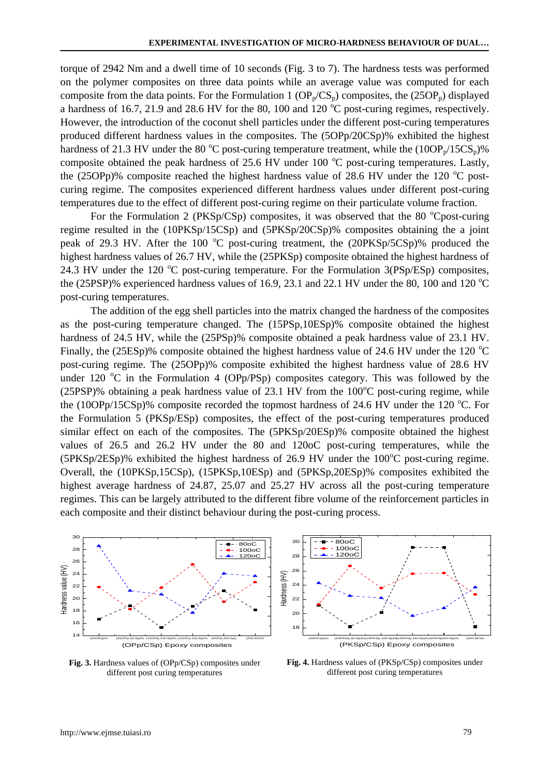torque of 2942 Nm and a dwell time of 10 seconds (Fig. 3 to 7). The hardness tests was performed on the polymer composites on three data points while an average value was computed for each composite from the data points. For the Formulation 1 ( $OP_p/CS_p$ ) composites, the (25OP<sub>p</sub>) displayed a hardness of 16.7, 21.9 and 28.6 HV for the 80, 100 and 120  $^{\circ}$ C post-curing regimes, respectively. However, the introduction of the coconut shell particles under the different post-curing temperatures produced different hardness values in the composites. The (5OPp/20CSp)% exhibited the highest hardness of 21.3 HV under the 80 °C post-curing temperature treatment, while the  $(10OP_p/15CS_p)\%$ composite obtained the peak hardness of 25.6 HV under 100  $^{\circ}$ C post-curing temperatures. Lastly, the (25OPp)% composite reached the highest hardness value of 28.6 HV under the 120  $^{\circ}$ C postcuring regime. The composites experienced different hardness values under different post-curing temperatures due to the effect of different post-curing regime on their particulate volume fraction.

For the Formulation 2 ( $PKSp/CSp$ ) composites, it was observed that the 80  $^{\circ}$ Cpost-curing regime resulted in the (10PKSp/15CSp) and (5PKSp/20CSp)% composites obtaining the a joint peak of 29.3 HV. After the 100  $^{\circ}$ C post-curing treatment, the (20PKSp/5CSp)% produced the highest hardness values of 26.7 HV, while the (25PKSp) composite obtained the highest hardness of 24.3 HV under the 120  $^{\circ}$ C post-curing temperature. For the Formulation 3(PSp/ESp) composites, the (25PSP)% experienced hardness values of 16.9, 23.1 and 22.1 HV under the 80, 100 and 120  $^{\circ}$ C post-curing temperatures.

The addition of the egg shell particles into the matrix changed the hardness of the composites as the post-curing temperature changed. The (15PSp,10ESp)% composite obtained the highest hardness of 24.5 HV, while the (25PSp)% composite obtained a peak hardness value of 23.1 HV. Finally, the  $(25ESp)$ % composite obtained the highest hardness value of 24.6 HV under the 120  $^{\circ}$ C post-curing regime. The (25OPp)% composite exhibited the highest hardness value of 28.6 HV under 120  $\degree$ C in the Formulation 4 (OPp/PSp) composites category. This was followed by the (25PSP)% obtaining a peak hardness value of 23.1 HV from the  $100^{\circ}$ C post-curing regime, while the (10OPp/15CSp)% composite recorded the topmost hardness of 24.6 HV under the 120  $^{\circ}$ C. For the Formulation 5 (PKSp/ESp) composites, the effect of the post-curing temperatures produced similar effect on each of the composites. The (5PKSp/20ESp)% composite obtained the highest values of 26.5 and 26.2 HV under the 80 and 120oC post-curing temperatures, while the  $(5PKSp/2ESp)\%$  exhibited the highest hardness of 26.9 HV under the 100 $^{\circ}$ C post-curing regime. Overall, the (10PKSp,15CSp), (15PKSp,10ESp) and (5PKSp,20ESp)% composites exhibited the highest average hardness of 24.87, 25.07 and 25.27 HV across all the post-curing temperature regimes. This can be largely attributed to the different fibre volume of the reinforcement particles in each composite and their distinct behaviour during the post-curing process.



**Fig. 3.** Hardness values of (OPp/CSp) composites under different post curing temperatures

**Fig. 4.** Hardness values of (PKSp/CSp) composites under different post curing temperatures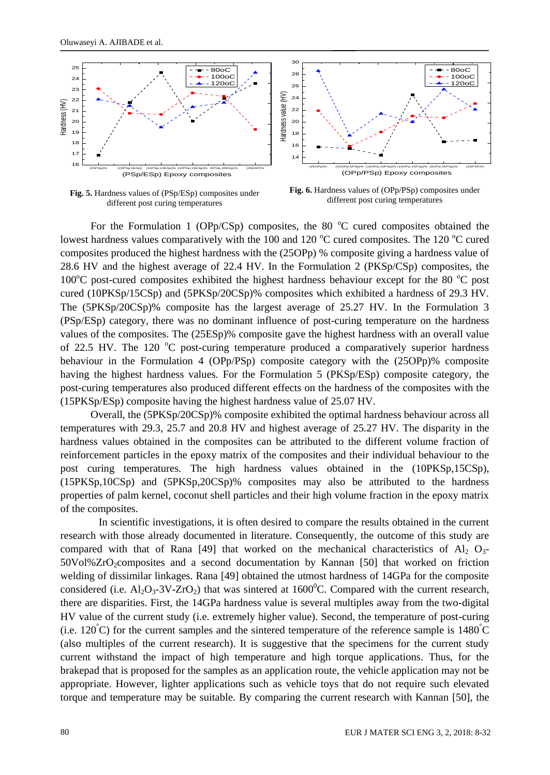

**Fig. 5.** Hardness values of (PSp/ESp) composites under different post curing temperatures

**Fig. 6.** Hardness values of (OPp/PSp) composites under different post curing temperatures

For the Formulation 1 (OPp/CSp) composites, the 80  $^{\circ}$ C cured composites obtained the lowest hardness values comparatively with the 100 and 120 °C cured composites. The 120 °C cured composites produced the highest hardness with the (25OPp) % composite giving a hardness value of 28.6 HV and the highest average of 22.4 HV. In the Formulation 2 (PKSp/CSp) composites, the  $100^{\circ}$ C post-cured composites exhibited the highest hardness behaviour except for the 80  $^{\circ}$ C post cured (10PKSp/15CSp) and (5PKSp/20CSp)% composites which exhibited a hardness of 29.3 HV. The (5PKSp/20CSp)% composite has the largest average of 25.27 HV. In the Formulation 3 (PSp/ESp) category, there was no dominant influence of post-curing temperature on the hardness values of the composites. The (25ESp)% composite gave the highest hardness with an overall value of 22.5 HV. The 120  $^{\circ}$ C post-curing temperature produced a comparatively superior hardness behaviour in the Formulation 4 (OPp/PSp) composite category with the (25OPp)% composite having the highest hardness values. For the Formulation 5 (PKSp/ESp) composite category, the post-curing temperatures also produced different effects on the hardness of the composites with the (15PKSp/ESp) composite having the highest hardness value of 25.07 HV.

Overall, the (5PKSp/20CSp)% composite exhibited the optimal hardness behaviour across all temperatures with 29.3, 25.7 and 20.8 HV and highest average of 25.27 HV. The disparity in the hardness values obtained in the composites can be attributed to the different volume fraction of reinforcement particles in the epoxy matrix of the composites and their individual behaviour to the post curing temperatures. The high hardness values obtained in the (10PKSp,15CSp), (15PKSp,10CSp) and (5PKSp,20CSp)% composites may also be attributed to the hardness properties of palm kernel, coconut shell particles and their high volume fraction in the epoxy matrix of the composites.

In scientific investigations, it is often desired to compare the results obtained in the current research with those already documented in literature. Consequently, the outcome of this study are compared with that of Rana [49] that worked on the mechanical characteristics of Al<sub>2</sub> O<sub>3</sub>- $50\text{Vol}\%$ ZrO<sub>2</sub>composites and a second documentation by Kannan [50] that worked on friction welding of dissimilar linkages. Rana [49] obtained the utmost hardness of 14GPa for the composite considered (i.e.  $\text{Al}_2\text{O}_3$ -3V-ZrO<sub>2</sub>) that was sintered at 1600<sup>o</sup>C. Compared with the current research, there are disparities. First, the 14GPa hardness value is several multiples away from the two-digital HV value of the current study (i.e. extremely higher value). Second, the temperature of post-curing (i.e. 120 $\degree$ C) for the current samples and the sintered temperature of the reference sample is 1480 $\degree$ C (also multiples of the current research). It is suggestive that the specimens for the current study current withstand the impact of high temperature and high torque applications. Thus, for the brakepad that is proposed for the samples as an application route, the vehicle application may not be appropriate. However, lighter applications such as vehicle toys that do not require such elevated torque and temperature may be suitable. By comparing the current research with Kannan [50], the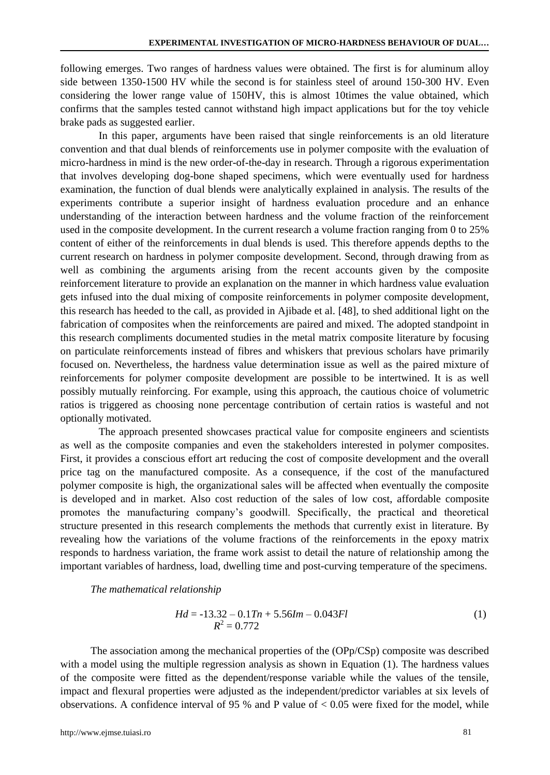following emerges. Two ranges of hardness values were obtained. The first is for aluminum alloy side between 1350-1500 HV while the second is for stainless steel of around 150-300 HV. Even considering the lower range value of 150HV, this is almost 10times the value obtained, which confirms that the samples tested cannot withstand high impact applications but for the toy vehicle brake pads as suggested earlier.

In this paper, arguments have been raised that single reinforcements is an old literature convention and that dual blends of reinforcements use in polymer composite with the evaluation of micro-hardness in mind is the new order-of-the-day in research. Through a rigorous experimentation that involves developing dog-bone shaped specimens, which were eventually used for hardness examination, the function of dual blends were analytically explained in analysis. The results of the experiments contribute a superior insight of hardness evaluation procedure and an enhance understanding of the interaction between hardness and the volume fraction of the reinforcement used in the composite development. In the current research a volume fraction ranging from 0 to 25% content of either of the reinforcements in dual blends is used. This therefore appends depths to the current research on hardness in polymer composite development. Second, through drawing from as well as combining the arguments arising from the recent accounts given by the composite reinforcement literature to provide an explanation on the manner in which hardness value evaluation gets infused into the dual mixing of composite reinforcements in polymer composite development, this research has heeded to the call, as provided in Ajibade et al. [48], to shed additional light on the fabrication of composites when the reinforcements are paired and mixed. The adopted standpoint in this research compliments documented studies in the metal matrix composite literature by focusing on particulate reinforcements instead of fibres and whiskers that previous scholars have primarily focused on. Nevertheless, the hardness value determination issue as well as the paired mixture of reinforcements for polymer composite development are possible to be intertwined. It is as well possibly mutually reinforcing. For example, using this approach, the cautious choice of volumetric ratios is triggered as choosing none percentage contribution of certain ratios is wasteful and not optionally motivated.

The approach presented showcases practical value for composite engineers and scientists as well as the composite companies and even the stakeholders interested in polymer composites. First, it provides a conscious effort art reducing the cost of composite development and the overall price tag on the manufactured composite. As a consequence, if the cost of the manufactured polymer composite is high, the organizational sales will be affected when eventually the composite is developed and in market. Also cost reduction of the sales of low cost, affordable composite promotes the manufacturing company's goodwill. Specifically, the practical and theoretical structure presented in this research complements the methods that currently exist in literature. By revealing how the variations of the volume fractions of the reinforcements in the epoxy matrix responds to hardness variation, the frame work assist to detail the nature of relationship among the important variables of hardness, load, dwelling time and post-curving temperature of the specimens.

*The mathematical relationship*

$$
Hd = -13.32 - 0.1Tn + 5.56Im - 0.043Fl
$$
  

$$
R^2 = 0.772
$$
 (1)

The association among the mechanical properties of the (OPp/CSp) composite was described with a model using the multiple regression analysis as shown in Equation (1). The hardness values of the composite were fitted as the dependent/response variable while the values of the tensile, impact and flexural properties were adjusted as the independent/predictor variables at six levels of observations. A confidence interval of 95 % and P value of  $< 0.05$  were fixed for the model, while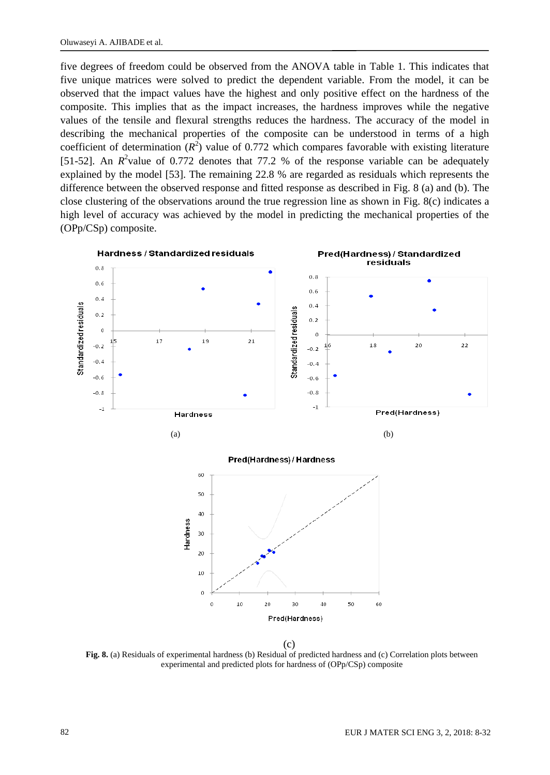five degrees of freedom could be observed from the ANOVA table in Table 1. This indicates that five unique matrices were solved to predict the dependent variable. From the model, it can be observed that the impact values have the highest and only positive effect on the hardness of the composite. This implies that as the impact increases, the hardness improves while the negative values of the tensile and flexural strengths reduces the hardness. The accuracy of the model in describing the mechanical properties of the composite can be understood in terms of a high coefficient of determination  $(R^2)$  value of 0.772 which compares favorable with existing literature [51-52]. An  $R^2$ value of 0.772 denotes that 77.2 % of the response variable can be adequately explained by the model [53]. The remaining 22.8 % are regarded as residuals which represents the difference between the observed response and fitted response as described in Fig. 8 (a) and (b). The close clustering of the observations around the true regression line as shown in Fig. 8(c) indicates a high level of accuracy was achieved by the model in predicting the mechanical properties of the (OPp/CSp) composite.



(c)

**Fig. 8.** (a) Residuals of experimental hardness (b) Residual of predicted hardness and (c) Correlation plots between experimental and predicted plots for hardness of (OPp/CSp) composite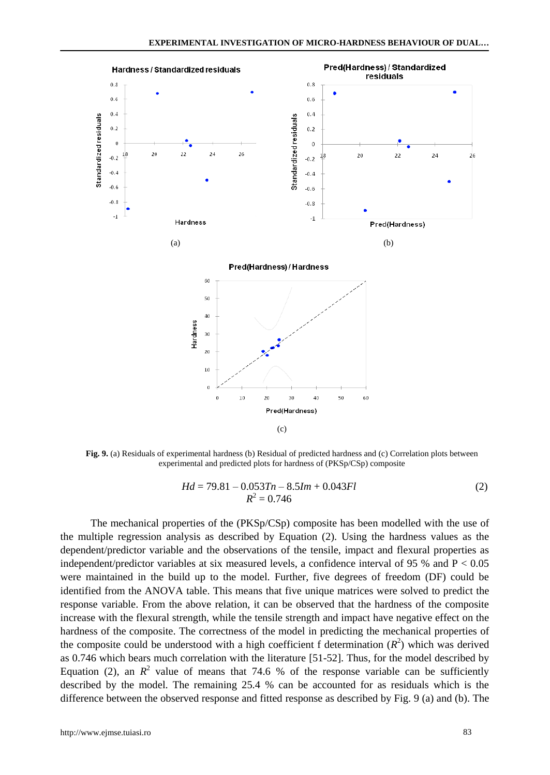

**Fig. 9.** (a) Residuals of experimental hardness (b) Residual of predicted hardness and (c) Correlation plots between experimental and predicted plots for hardness of (PKSp/CSp) composite

$$
Hd = 79.81 - 0.053Tn - 8.5Im + 0.043Fl
$$
  

$$
R^2 = 0.746
$$
 (2)

The mechanical properties of the (PKSp/CSp) composite has been modelled with the use of the multiple regression analysis as described by Equation (2). Using the hardness values as the dependent/predictor variable and the observations of the tensile, impact and flexural properties as independent/predictor variables at six measured levels, a confidence interval of 95 % and  $P < 0.05$ were maintained in the build up to the model. Further, five degrees of freedom (DF) could be identified from the ANOVA table. This means that five unique matrices were solved to predict the response variable. From the above relation, it can be observed that the hardness of the composite increase with the flexural strength, while the tensile strength and impact have negative effect on the hardness of the composite. The correctness of the model in predicting the mechanical properties of the composite could be understood with a high coefficient f determination  $(R^2)$  which was derived as 0.746 which bears much correlation with the literature [51-52]. Thus, for the model described by Equation (2), an  $R^2$  value of means that 74.6 % of the response variable can be sufficiently described by the model. The remaining 25.4 % can be accounted for as residuals which is the difference between the observed response and fitted response as described by Fig. 9 (a) and (b). The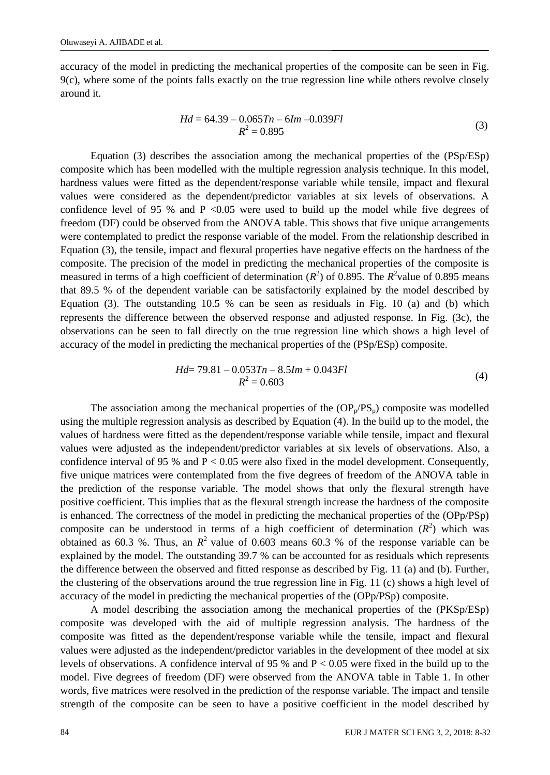accuracy of the model in predicting the mechanical properties of the composite can be seen in Fig. 9(c), where some of the points falls exactly on the true regression line while others revolve closely around it.

$$
Hd = 64.39 - 0.065Tn - 6Im - 0.039Fl
$$
  

$$
R^2 = 0.895
$$
 (3)

Equation (3) describes the association among the mechanical properties of the (PSp/ESp) composite which has been modelled with the multiple regression analysis technique. In this model, hardness values were fitted as the dependent/response variable while tensile, impact and flexural values were considered as the dependent/predictor variables at six levels of observations. A confidence level of 95 % and  $P < 0.05$  were used to build up the model while five degrees of freedom (DF) could be observed from the ANOVA table. This shows that five unique arrangements were contemplated to predict the response variable of the model. From the relationship described in Equation (3), the tensile, impact and flexural properties have negative effects on the hardness of the composite. The precision of the model in predicting the mechanical properties of the composite is measured in terms of a high coefficient of determination  $(R^2)$  of 0.895. The  $R^2$ value of 0.895 means that 89.5 % of the dependent variable can be satisfactorily explained by the model described by Equation  $(3)$ . The outstanding  $10.5$  % can be seen as residuals in Fig. 10  $(a)$  and  $(b)$  which represents the difference between the observed response and adjusted response. In Fig. (3c), the observations can be seen to fall directly on the true regression line which shows a high level of accuracy of the model in predicting the mechanical properties of the (PSp/ESp) composite.

$$
Hd=79.81-0.053Tn-8.5Im+0.043Fl
$$
  

$$
R^2 = 0.603
$$
 (4)

The association among the mechanical properties of the  $OP<sub>p</sub>/PS<sub>p</sub>$ ) composite was modelled using the multiple regression analysis as described by Equation (4). In the build up to the model, the values of hardness were fitted as the dependent/response variable while tensile, impact and flexural values were adjusted as the independent/predictor variables at six levels of observations. Also, a confidence interval of 95 % and  $P < 0.05$  were also fixed in the model development. Consequently, five unique matrices were contemplated from the five degrees of freedom of the ANOVA table in the prediction of the response variable. The model shows that only the flexural strength have positive coefficient. This implies that as the flexural strength increase the hardness of the composite is enhanced. The correctness of the model in predicting the mechanical properties of the (OPp/PSp) composite can be understood in terms of a high coefficient of determination  $(R^2)$  which was obtained as 60.3 %. Thus, an  $R^2$  value of 0.603 means 60.3 % of the response variable can be explained by the model. The outstanding 39.7 % can be accounted for as residuals which represents the difference between the observed and fitted response as described by Fig. 11 (a) and (b). Further, the clustering of the observations around the true regression line in Fig. 11 (c) shows a high level of accuracy of the model in predicting the mechanical properties of the (OPp/PSp) composite.

A model describing the association among the mechanical properties of the (PKSp/ESp) composite was developed with the aid of multiple regression analysis. The hardness of the composite was fitted as the dependent/response variable while the tensile, impact and flexural values were adjusted as the independent/predictor variables in the development of thee model at six levels of observations. A confidence interval of 95 % and  $P < 0.05$  were fixed in the build up to the model. Five degrees of freedom (DF) were observed from the ANOVA table in Table 1. In other words, five matrices were resolved in the prediction of the response variable. The impact and tensile strength of the composite can be seen to have a positive coefficient in the model described by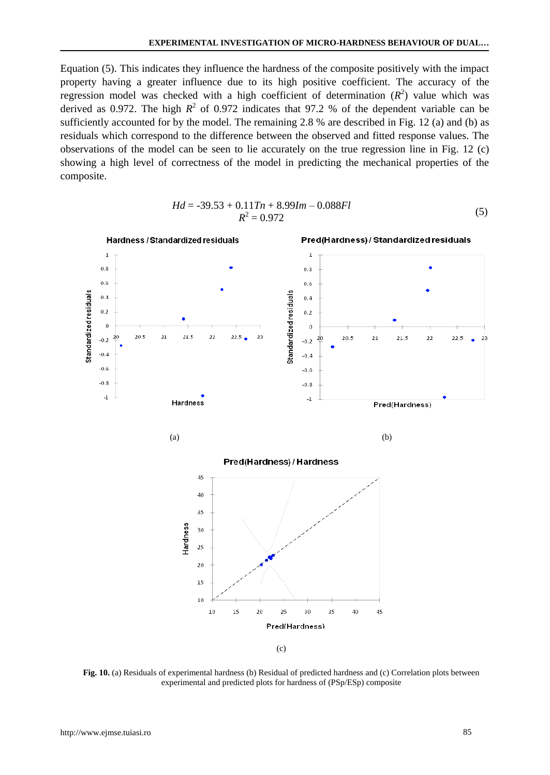Equation (5). This indicates they influence the hardness of the composite positively with the impact property having a greater influence due to its high positive coefficient. The accuracy of the regression model was checked with a high coefficient of determination  $(R^2)$  value which was derived as 0.972. The high  $R^2$  of 0.972 indicates that 97.2 % of the dependent variable can be sufficiently accounted for by the model. The remaining 2.8 % are described in Fig. 12 (a) and (b) as residuals which correspond to the difference between the observed and fitted response values. The observations of the model can be seen to lie accurately on the true regression line in Fig. 12 (c) showing a high level of correctness of the model in predicting the mechanical properties of the composite.

$$
Hd = -39.53 + 0.11Tn + 8.99Im - 0.088Fl
$$
  

$$
R^2 = 0.972
$$
 (5)



(c)

**Fig. 10.** (a) Residuals of experimental hardness (b) Residual of predicted hardness and (c) Correlation plots between experimental and predicted plots for hardness of (PSp/ESp) composite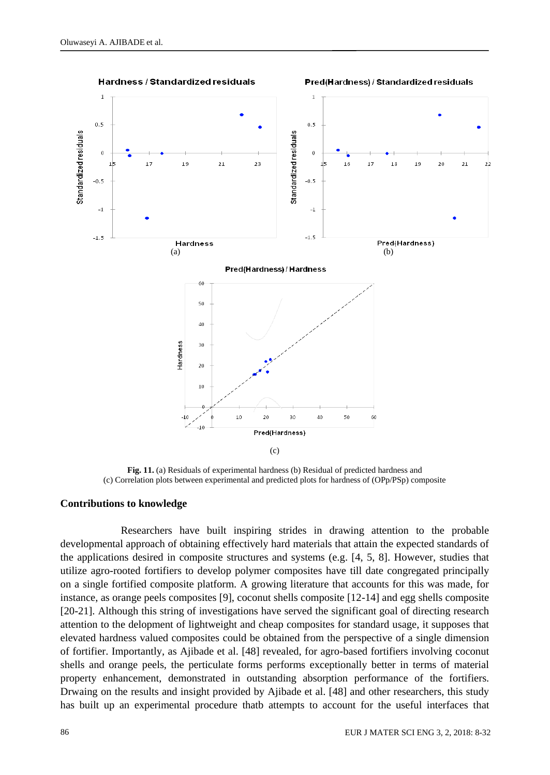

**Fig. 11.** (a) Residuals of experimental hardness (b) Residual of predicted hardness and (c) Correlation plots between experimental and predicted plots for hardness of (OPp/PSp) composite

### **Contributions to knowledge**

Researchers have built inspiring strides in drawing attention to the probable developmental approach of obtaining effectively hard materials that attain the expected standards of the applications desired in composite structures and systems (e.g. [4, 5, 8]. However, studies that utilize agro-rooted fortifiers to develop polymer composites have till date congregated principally on a single fortified composite platform. A growing literature that accounts for this was made, for instance, as orange peels composites [9], coconut shells composite [12-14] and egg shells composite [20-21]. Although this string of investigations have served the significant goal of directing research attention to the delopment of lightweight and cheap composites for standard usage, it supposes that elevated hardness valued composites could be obtained from the perspective of a single dimension of fortifier. Importantly, as Ajibade et al. [48] revealed, for agro-based fortifiers involving coconut shells and orange peels, the perticulate forms performs exceptionally better in terms of material property enhancement, demonstrated in outstanding absorption performance of the fortifiers. Drwaing on the results and insight provided by Ajibade et al. [48] and other researchers, this study has built up an experimental procedure thatb attempts to account for the useful interfaces that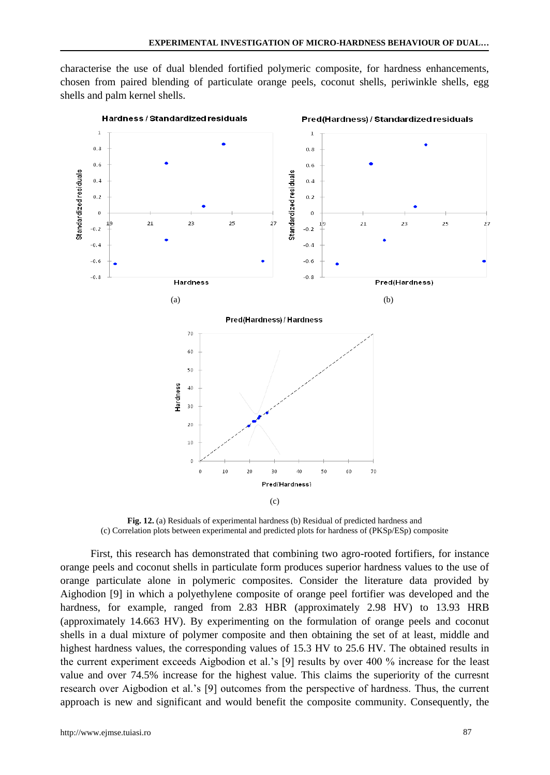characterise the use of dual blended fortified polymeric composite, for hardness enhancements, chosen from paired blending of particulate orange peels, coconut shells, periwinkle shells, egg shells and palm kernel shells.



**Fig. 12.** (a) Residuals of experimental hardness (b) Residual of predicted hardness and (c) Correlation plots between experimental and predicted plots for hardness of (PKSp/ESp) composite

First, this research has demonstrated that combining two agro-rooted fortifiers, for instance orange peels and coconut shells in particulate form produces superior hardness values to the use of orange particulate alone in polymeric composites. Consider the literature data provided by Aighodion [9] in which a polyethylene composite of orange peel fortifier was developed and the hardness, for example, ranged from 2.83 HBR (approximately 2.98 HV) to 13.93 HRB (approximately 14.663 HV). By experimenting on the formulation of orange peels and coconut shells in a dual mixture of polymer composite and then obtaining the set of at least, middle and highest hardness values, the corresponding values of 15.3 HV to 25.6 HV. The obtained results in the current experiment exceeds Aigbodion et al.'s [9] results by over 400 % increase for the least value and over 74.5% increase for the highest value. This claims the superiority of the curresnt research over Aigbodion et al.'s [9] outcomes from the perspective of hardness. Thus, the current approach is new and significant and would benefit the composite community. Consequently, the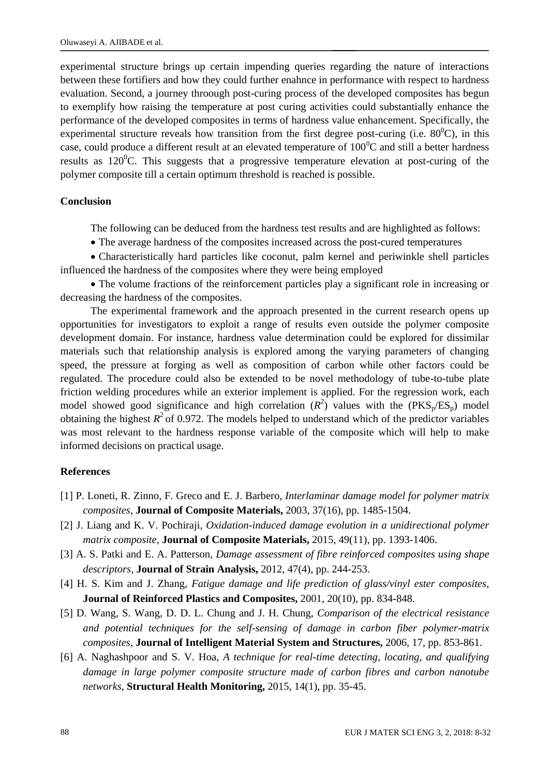experimental structure brings up certain impending queries regarding the nature of interactions between these fortifiers and how they could further enahnce in performance with respect to hardness evaluation. Second, a journey throough post-curing process of the developed composites has begun to exemplify how raising the temperature at post curing activities could substantially enhance the performance of the developed composites in terms of hardness value enhancement. Specifically, the experimental structure reveals how transition from the first degree post-curing (i.e.  $80^{\circ}$ C), in this case, could produce a different result at an elevated temperature of  $100^0C$  and still a better hardness results as  $120^{\circ}$ C. This suggests that a progressive temperature elevation at post-curing of the polymer composite till a certain optimum threshold is reached is possible.

### **Conclusion**

The following can be deduced from the hardness test results and are highlighted as follows:

The average hardness of the composites increased across the post-cured temperatures

 Characteristically hard particles like coconut, palm kernel and periwinkle shell particles influenced the hardness of the composites where they were being employed

 The volume fractions of the reinforcement particles play a significant role in increasing or decreasing the hardness of the composites.

The experimental framework and the approach presented in the current research opens up opportunities for investigators to exploit a range of results even outside the polymer composite development domain. For instance, hardness value determination could be explored for dissimilar materials such that relationship analysis is explored among the varying parameters of changing speed, the pressure at forging as well as composition of carbon while other factors could be regulated. The procedure could also be extended to be novel methodology of tube-to-tube plate friction welding procedures while an exterior implement is applied. For the regression work, each model showed good significance and high correlation  $(R^2)$  values with the  $(PKS_p/ES_p)$  model obtaining the highest  $R^2$  of 0.972. The models helped to understand which of the predictor variables was most relevant to the hardness response variable of the composite which will help to make informed decisions on practical usage.

### **References**

- [1] P. Loneti, R. Zinno, F. Greco and E. J. Barbero, *Interlaminar damage model for polymer matrix composites*, **Journal of Composite Materials,** 2003, 37(16), pp. 1485-1504.
- [2] J. Liang and K. V. Pochiraji, *Oxidation-induced damage evolution in a unidirectional polymer matrix composite*, **Journal of Composite Materials,** 2015, 49(11), pp. 1393-1406.
- [3] A. S. Patki and E. A. Patterson, *Damage assessment of fibre reinforced composites using shape descriptors*, **Journal of Strain Analysis,** 2012, 47(4), pp. 244-253.
- [4] H. S. Kim and J. Zhang, *Fatigue damage and life prediction of glass/vinyl ester composites*, **Journal of Reinforced Plastics and Composites,** 2001, 20(10), pp. 834-848.
- [5] D. Wang, S. Wang, D. D. L. Chung and J. H. Chung, *Comparison of the electrical resistance and potential techniques for the self-sensing of damage in carbon fiber polymer-matrix composites*, **Journal of Intelligent Material System and Structures,** 2006, 17, pp. 853-861.
- [6] A. Naghashpoor and S. V. Hoa, *A technique for real-time detecting, locating, and qualifying damage in large polymer composite structure made of carbon fibres and carbon nanotube networks*, **Structural Health Monitoring,** 2015, 14(1), pp. 35-45.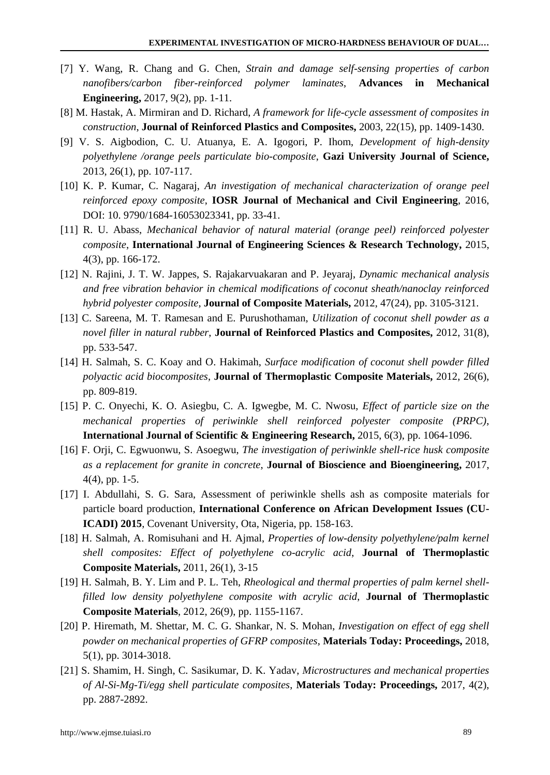- [7] Y. Wang, R. Chang and G. Chen, *Strain and damage self-sensing properties of carbon nanofibers/carbon fiber-reinforced polymer laminates*, **Advances in Mechanical Engineering,** 2017, 9(2), pp. 1-11.
- [8] M. Hastak, A. Mirmiran and D. Richard, *A framework for life-cycle assessment of composites in construction*, **Journal of Reinforced Plastics and Composites,** 2003, 22(15), pp. 1409-1430.
- [9] V. S. Aigbodion, C. U. Atuanya, E. A. Igogori, P. Ihom, *Development of high-density polyethylene /orange peels particulate bio-composite*, **Gazi University Journal of Science,**  2013, 26(1), pp. 107-117.
- [10] K. P. Kumar, C. Nagaraj, *An investigation of mechanical characterization of orange peel reinforced epoxy composite*, **IOSR Journal of Mechanical and Civil Engineering**, 2016, DOI: 10. 9790/1684-16053023341, pp. 33-41.
- [11] R. U. Abass, *Mechanical behavior of natural material (orange peel) reinforced polyester composite*, **International Journal of Engineering Sciences & Research Technology,** 2015, 4(3), pp. 166-172.
- [12] N. Rajini, J. T. W. Jappes, S. Rajakarvuakaran and P. Jeyaraj, *Dynamic mechanical analysis and free vibration behavior in chemical modifications of coconut sheath/nanoclay reinforced hybrid polyester composite*, **Journal of Composite Materials,** 2012, 47(24), pp. 3105-3121.
- [13] C. Sareena, M. T. Ramesan and E. Purushothaman, *Utilization of coconut shell powder as a novel filler in natural rubber*, **Journal of Reinforced Plastics and Composites,** 2012, 31(8), pp. 533-547.
- [14] H. Salmah, S. C. Koay and O. Hakimah, *Surface modification of coconut shell powder filled polyactic acid biocomposites*, **Journal of Thermoplastic Composite Materials,** 2012, 26(6), pp. 809-819.
- [15] P. C. Onyechi, K. O. Asiegbu, C. A. Igwegbe, M. C. Nwosu, *Effect of particle size on the mechanical properties of periwinkle shell reinforced polyester composite (PRPC)*, **International Journal of Scientific & Engineering Research,** 2015, 6(3), pp. 1064-1096.
- [16] F. Orji, C. Egwuonwu, S. Asoegwu, *The investigation of periwinkle shell-rice husk composite as a replacement for granite in concrete*, **Journal of Bioscience and Bioengineering,** 2017, 4(4), pp. 1-5.
- [17] I. Abdullahi, S. G. Sara, Assessment of periwinkle shells ash as composite materials for particle board production, **International Conference on African Development Issues (CU-ICADI) 2015**, Covenant University, Ota, Nigeria, pp. 158-163.
- [18] H. Salmah, A. Romisuhani and H. Ajmal, *Properties of low-density polyethylene/palm kernel shell composites: Effect of polyethylene co-acrylic acid*, **Journal of Thermoplastic Composite Materials,** 2011, 26(1), 3-15
- [19] H. Salmah, B. Y. Lim and P. L. Teh, *Rheological and thermal properties of palm kernel shellfilled low density polyethylene composite with acrylic acid*, **Journal of Thermoplastic Composite Materials**, 2012, 26(9), pp. 1155-1167.
- [20] P. Hiremath, M. Shettar, M. C. G. Shankar, N. S. Mohan, *Investigation on effect of egg shell powder on mechanical properties of GFRP composites*, **Materials Today: Proceedings,** 2018, 5(1), pp. 3014-3018.
- [21] S. Shamim, H. Singh, C. Sasikumar, D. K. Yadav, *Microstructures and mechanical properties of Al-Si-Mg-Ti/egg shell particulate composites*, **Materials Today: Proceedings,** 2017, 4(2), pp. 2887-2892.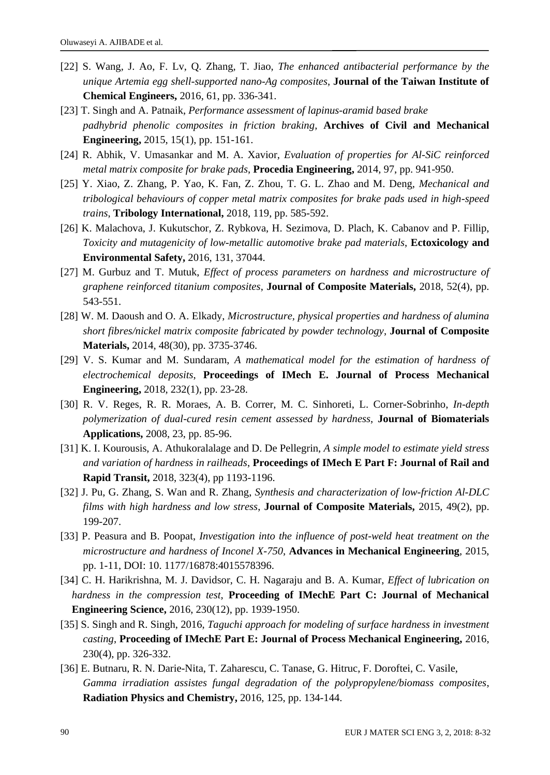- [22] S. Wang, J. Ao, F. Lv, Q. Zhang, T. Jiao, *The enhanced antibacterial performance by the unique Artemia egg shell-supported nano-Ag composites*, **Journal of the Taiwan Institute of Chemical Engineers,** 2016, 61, pp. 336-341.
- [23] T. Singh and A. Patnaik, *Performance assessment of lapinus-aramid based brake padhybrid phenolic composites in friction braking*, **Archives of Civil and Mechanical Engineering,** 2015, 15(1), pp. 151-161.
- [24] R. Abhik, V. Umasankar and M. A. Xavior, *Evaluation of properties for Al-SiC reinforced metal matrix composite for brake pads*, **Procedia Engineering,** 2014, 97, pp. 941-950.
- [25] Y. Xiao, Z. Zhang, P. Yao, K. Fan, Z. Zhou, T. G. L. Zhao and M. Deng, *Mechanical and tribological behaviours of copper metal matrix composites for brake pads used in high-speed trains*, **Tribology International,** 2018, 119, pp. 585-592.
- [26] K. Malachova, J. Kukutschor, Z. Rybkova, H. Sezimova, D. Plach, K. Cabanov and P. Fillip, *Toxicity and mutagenicity of low-metallic automotive brake pad materials*, **Ectoxicology and Environmental Safety,** 2016, 131, 37044.
- [27] M. Gurbuz and T. Mutuk, *Effect of process parameters on hardness and microstructure of graphene reinforced titanium composites*, **Journal of Composite Materials,** 2018, 52(4), pp. 543-551.
- [28] W. M. Daoush and O. A. Elkady, *Microstructure, physical properties and hardness of alumina short fibres/nickel matrix composite fabricated by powder technology*, **Journal of Composite Materials,** 2014, 48(30), pp. 3735-3746.
- [29] V. S. Kumar and M. Sundaram, *A mathematical model for the estimation of hardness of electrochemical deposits*, **Proceedings of IMech E. Journal of Process Mechanical Engineering,** 2018, 232(1), pp. 23-28.
- [30] R. V. Reges, R. R. Moraes, A. B. Correr, M. C. Sinhoreti, L. Corner-Sobrinho, *In-depth polymerization of dual-cured resin cement assessed by hardness*, **Journal of Biomaterials Applications,** 2008, 23, pp. 85-96.
- [31] K. I. Kourousis, A. Athukoralalage and D. De Pellegrin, *A simple model to estimate yield stress and variation of hardness in railheads*, **Proceedings of IMech E Part F: Journal of Rail and Rapid Transit,** 2018, 323(4), pp 1193-1196.
- [32] J. Pu, G. Zhang, S. Wan and R. Zhang, *Synthesis and characterization of low-friction Al-DLC films with high hardness and low stress*, **Journal of Composite Materials,** 2015, 49(2), pp. 199-207.
- [33] P. Peasura and B. Poopat, *Investigation into the influence of post-weld heat treatment on the microstructure and hardness of Inconel X-750*, **Advances in Mechanical Engineering**, 2015, pp. 1-11, DOI: 10. 1177/16878:4015578396.
- [34] C. H. Harikrishna, M. J. Davidsor, C. H. Nagaraju and B. A. Kumar, *Effect of lubrication on hardness in the compression test*, **Proceeding of IMechE Part C: Journal of Mechanical Engineering Science,** 2016, 230(12), pp. 1939-1950.
- [35] S. Singh and R. Singh, 2016, *Taguchi approach for modeling of surface hardness in investment casting*, **Proceeding of IMechE Part E: Journal of Process Mechanical Engineering,** 2016, 230(4), pp. 326-332.
- [36] E. Butnaru, R. N. Darie-Nita, T. Zaharescu, C. Tanase, G. Hitruc, F. Doroftei, C. Vasile, *Gamma irradiation assistes fungal degradation of the polypropylene/biomass composites*, **Radiation Physics and Chemistry,** 2016, 125, pp. 134-144.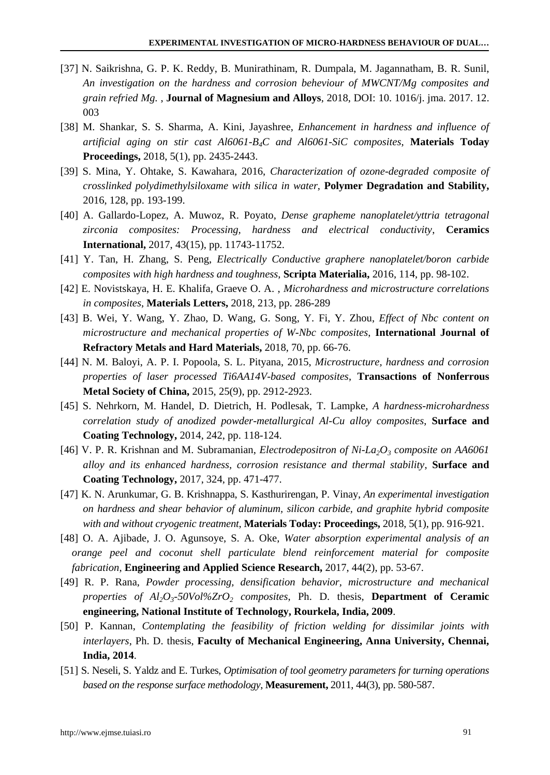- [37] N. Saikrishna, G. P. K. Reddy, B. Munirathinam, R. Dumpala, M. Jagannatham, B. R. Sunil, *An investigation on the hardness and corrosion beheviour of MWCNT/Mg composites and grain refried Mg.* , **Journal of Magnesium and Alloys**, 2018, DOI: 10. 1016/j. jma. 2017. 12. 003
- [38] M. Shankar, S. S. Sharma, A. Kini, Jayashree, *Enhancement in hardness and influence of artificial aging on stir cast Al6061-B4C and Al6061-SiC composites*, **Materials Today Proceedings,** 2018, 5(1), pp. 2435-2443.
- [39] S. Mina, Y. Ohtake, S. Kawahara, 2016, *Characterization of ozone-degraded composite of crosslinked polydimethylsiloxame with silica in water*, **Polymer Degradation and Stability,**  2016, 128, pp. 193-199.
- [40] A. Gallardo-Lopez, A. Muwoz, R. Poyato, *Dense grapheme nanoplatelet/yttria tetragonal zirconia composites: Processing, hardness and electrical conductivity*, **Ceramics International,** 2017, 43(15), pp. 11743-11752.
- [41] Y. Tan, H. Zhang, S. Peng, *Electrically Conductive graphere nanoplatelet/boron carbide composites with high hardness and toughness*, **Scripta Materialia,** 2016, 114, pp. 98-102.
- [42] E. Novistskaya, H. E. Khalifa, Graeve O. A. , *Microhardness and microstructure correlations in composites*, **Materials Letters,** 2018, 213, pp. 286-289
- [43] B. Wei, Y. Wang, Y. Zhao, D. Wang, G. Song, Y. Fi, Y. Zhou, *Effect of Nbc content on microstructure and mechanical properties of W-Nbc composites*, **International Journal of Refractory Metals and Hard Materials,** 2018, 70, pp. 66-76.
- [44] N. M. Baloyi, A. P. I. Popoola, S. L. Pityana, 2015, *Microstructure, hardness and corrosion properties of laser processed Ti6AA14V-based composites*, **Transactions of Nonferrous Metal Society of China,** 2015, 25(9), pp. 2912-2923.
- [45] S. Nehrkorn, M. Handel, D. Dietrich, H. Podlesak, T. Lampke, *A hardness-microhardness correlation study of anodized powder-metallurgical Al-Cu alloy composites*, **Surface and Coating Technology,** 2014, 242, pp. 118-124.
- [46] V. P. R. Krishnan and M. Subramanian, *Electrodepositron of Ni-La2O<sup>3</sup> composite on AA6061 alloy and its enhanced hardness, corrosion resistance and thermal stability*, **Surface and Coating Technology,** 2017, 324, pp. 471-477.
- [47] K. N. Arunkumar, G. B. Krishnappa, S. Kasthurirengan, P. Vinay, *An experimental investigation on hardness and shear behavior of aluminum, silicon carbide, and graphite hybrid composite with and without cryogenic treatment*, **Materials Today: Proceedings,** 2018, 5(1), pp. 916-921.
- [48] O. A. Ajibade, J. O. Agunsoye, S. A. Oke, *Water absorption experimental analysis of an orange peel and coconut shell particulate blend reinforcement material for composite fabrication*, **Engineering and Applied Science Research,** 2017, 44(2), pp. 53-67.
- [49] R. P. Rana, *Powder processing, densification behavior, microstructure and mechanical properties of Al2O3-50Vol%ZrO<sup>2</sup> composites*, Ph. D. thesis, **Department of Ceramic engineering, National Institute of Technology, Rourkela, India, 2009**.
- [50] P. Kannan, *Contemplating the feasibility of friction welding for dissimilar joints with interlayers*, Ph. D. thesis, **Faculty of Mechanical Engineering, Anna University, Chennai, India, 2014**.
- [51] S. Neseli, S. Yaldz and E. Turkes, *Optimisation of tool geometry parameters for turning operations based on the response surface methodology*, **Measurement,** 2011, 44(3), pp. 580-587.